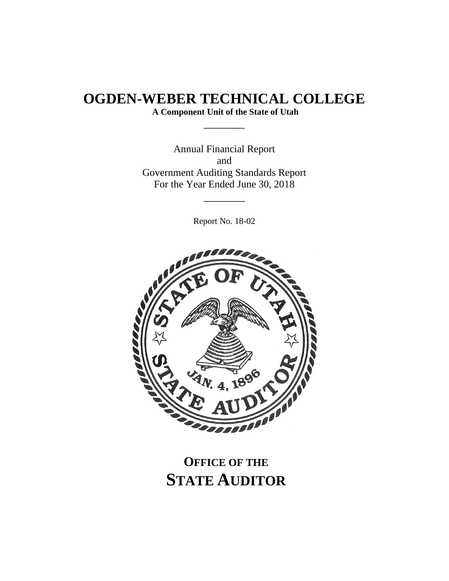**A Component Unit of the State of Utah**  $\overline{\phantom{a}}$ 

Annual Financial Report and Government Auditing Standards Report For the Year Ended June 30, 2018

Report No. 18-02

 $\overline{\phantom{a}}$ 



# **OFFICE OF THE STATE AUDITOR**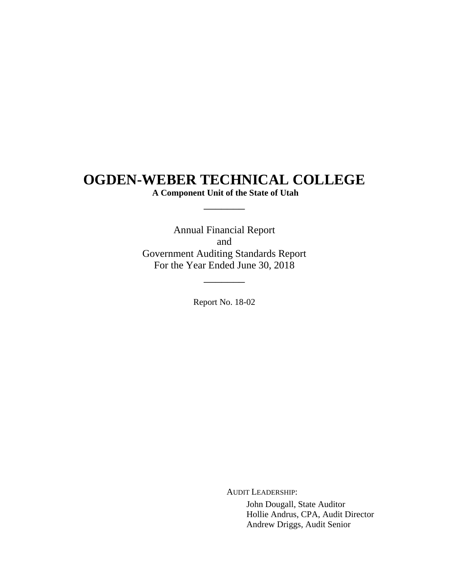# **OGDEN-WEBER TECHNICAL COLLEGE A Component Unit of the State of Utah**

 $\overline{\phantom{a}}$ 

Annual Financial Report and Government Auditing Standards Report For the Year Ended June 30, 2018

Report No. 18-02

 $\overline{\phantom{a}}$ 

AUDIT LEADERSHIP:

John Dougall, State Auditor Hollie Andrus, CPA, Audit Director Andrew Driggs, Audit Senior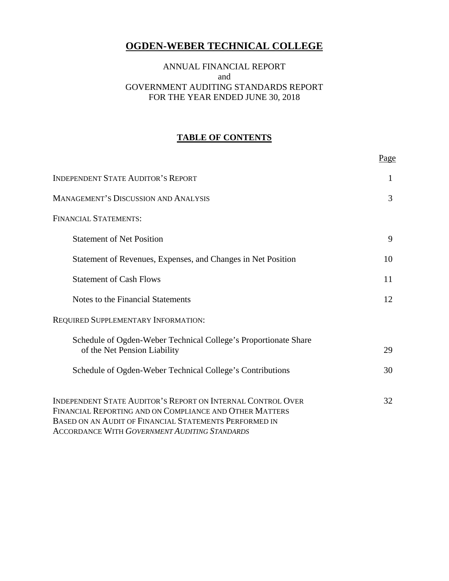### ANNUAL FINANCIAL REPORT and GOVERNMENT AUDITING STANDARDS REPORT FOR THE YEAR ENDED JUNE 30, 2018

### **TABLE OF CONTENTS**

Page

| <b>INDEPENDENT STATE AUDITOR'S REPORT</b>                                                                                                                                                                                                       | 1  |
|-------------------------------------------------------------------------------------------------------------------------------------------------------------------------------------------------------------------------------------------------|----|
| <b>MANAGEMENT'S DISCUSSION AND ANALYSIS</b>                                                                                                                                                                                                     | 3  |
| <b>FINANCIAL STATEMENTS:</b>                                                                                                                                                                                                                    |    |
| <b>Statement of Net Position</b>                                                                                                                                                                                                                | 9  |
| Statement of Revenues, Expenses, and Changes in Net Position                                                                                                                                                                                    | 10 |
| <b>Statement of Cash Flows</b>                                                                                                                                                                                                                  | 11 |
| Notes to the Financial Statements                                                                                                                                                                                                               | 12 |
| REQUIRED SUPPLEMENTARY INFORMATION:                                                                                                                                                                                                             |    |
| Schedule of Ogden-Weber Technical College's Proportionate Share<br>of the Net Pension Liability                                                                                                                                                 | 29 |
| Schedule of Ogden-Weber Technical College's Contributions                                                                                                                                                                                       | 30 |
| <b>INDEPENDENT STATE AUDITOR'S REPORT ON INTERNAL CONTROL OVER</b><br>FINANCIAL REPORTING AND ON COMPLIANCE AND OTHER MATTERS<br>BASED ON AN AUDIT OF FINANCIAL STATEMENTS PERFORMED IN<br><b>ACCORDANCE WITH GOVERNMENT AUDITING STANDARDS</b> | 32 |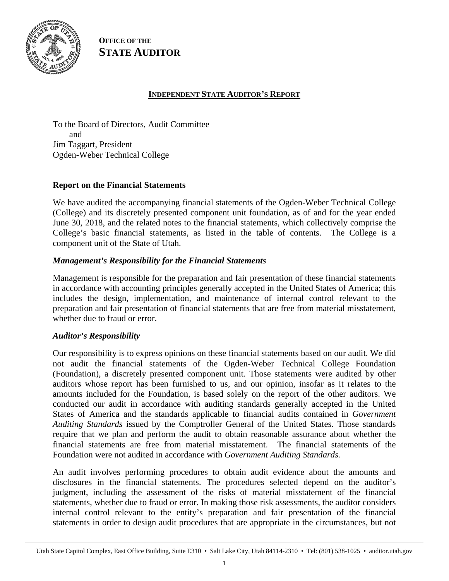

**OFFICE OF THE STATE AUDITOR**

### **INDEPENDENT STATE AUDITOR'S REPORT**

To the Board of Directors, Audit Committee and Jim Taggart, President Ogden-Weber Technical College

### **Report on the Financial Statements**

We have audited the accompanying financial statements of the Ogden-Weber Technical College (College) and its discretely presented component unit foundation, as of and for the year ended June 30, 2018, and the related notes to the financial statements, which collectively comprise the College's basic financial statements, as listed in the table of contents. The College is a component unit of the State of Utah.

### *Management's Responsibility for the Financial Statements*

Management is responsible for the preparation and fair presentation of these financial statements in accordance with accounting principles generally accepted in the United States of America; this includes the design, implementation, and maintenance of internal control relevant to the preparation and fair presentation of financial statements that are free from material misstatement, whether due to fraud or error.

### *Auditor's Responsibility*

Our responsibility is to express opinions on these financial statements based on our audit. We did not audit the financial statements of the Ogden-Weber Technical College Foundation (Foundation), a discretely presented component unit. Those statements were audited by other auditors whose report has been furnished to us, and our opinion, insofar as it relates to the amounts included for the Foundation, is based solely on the report of the other auditors. We conducted our audit in accordance with auditing standards generally accepted in the United States of America and the standards applicable to financial audits contained in *Government Auditing Standards* issued by the Comptroller General of the United States. Those standards require that we plan and perform the audit to obtain reasonable assurance about whether the financial statements are free from material misstatement. The financial statements of the Foundation were not audited in accordance with *Government Auditing Standards.*

An audit involves performing procedures to obtain audit evidence about the amounts and disclosures in the financial statements. The procedures selected depend on the auditor's judgment, including the assessment of the risks of material misstatement of the financial statements, whether due to fraud or error. In making those risk assessments, the auditor considers internal control relevant to the entity's preparation and fair presentation of the financial statements in order to design audit procedures that are appropriate in the circumstances, but not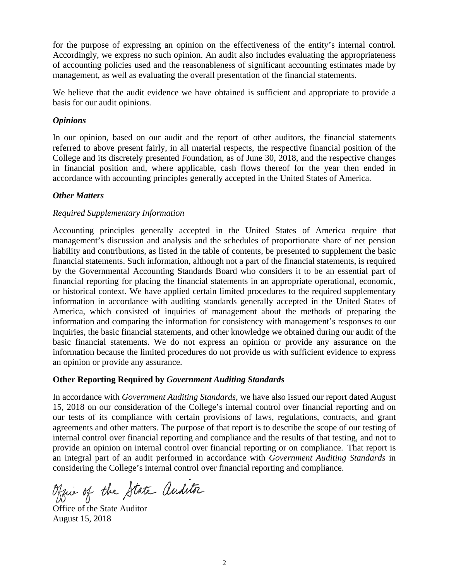for the purpose of expressing an opinion on the effectiveness of the entity's internal control. Accordingly, we express no such opinion. An audit also includes evaluating the appropriateness of accounting policies used and the reasonableness of significant accounting estimates made by management, as well as evaluating the overall presentation of the financial statements*.*

We believe that the audit evidence we have obtained is sufficient and appropriate to provide a basis for our audit opinions.

### *Opinions*

In our opinion, based on our audit and the report of other auditors, the financial statements referred to above present fairly, in all material respects, the respective financial position of the College and its discretely presented Foundation, as of June 30, 2018, and the respective changes in financial position and, where applicable, cash flows thereof for the year then ended in accordance with accounting principles generally accepted in the United States of America.

### *Other Matters*

### *Required Supplementary Information*

Accounting principles generally accepted in the United States of America require that management's discussion and analysis and the schedules of proportionate share of net pension liability and contributions, as listed in the table of contents, be presented to supplement the basic financial statements. Such information, although not a part of the financial statements, is required by the Governmental Accounting Standards Board who considers it to be an essential part of financial reporting for placing the financial statements in an appropriate operational, economic, or historical context. We have applied certain limited procedures to the required supplementary information in accordance with auditing standards generally accepted in the United States of America, which consisted of inquiries of management about the methods of preparing the information and comparing the information for consistency with management's responses to our inquiries, the basic financial statements, and other knowledge we obtained during our audit of the basic financial statements. We do not express an opinion or provide any assurance on the information because the limited procedures do not provide us with sufficient evidence to express an opinion or provide any assurance.

### **Other Reporting Required by** *Government Auditing Standards*

In accordance with *Government Auditing Standards*, we have also issued our report dated August 15, 2018 on our consideration of the College's internal control over financial reporting and on our tests of its compliance with certain provisions of laws, regulations, contracts, and grant agreements and other matters. The purpose of that report is to describe the scope of our testing of internal control over financial reporting and compliance and the results of that testing, and not to provide an opinion on internal control over financial reporting or on compliance. That report is an integral part of an audit performed in accordance with *Government Auditing Standards* in considering the College's internal control over financial reporting and compliance.

Office of the State auditor

Office of the State Auditor August 15, 2018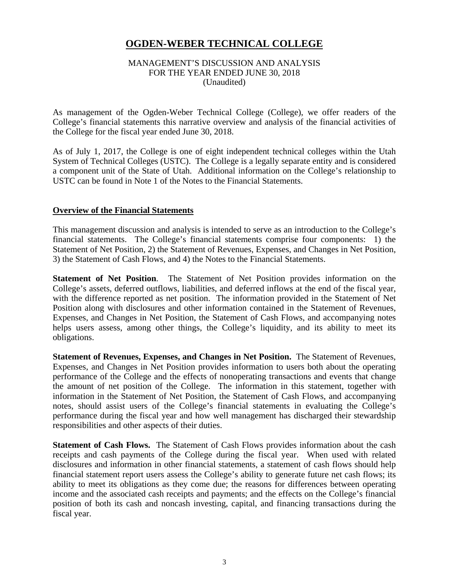### MANAGEMENT'S DISCUSSION AND ANALYSIS FOR THE YEAR ENDED JUNE 30, 2018 (Unaudited)

As management of the Ogden-Weber Technical College (College), we offer readers of the College's financial statements this narrative overview and analysis of the financial activities of the College for the fiscal year ended June 30, 2018.

As of July 1, 2017, the College is one of eight independent technical colleges within the Utah System of Technical Colleges (USTC). The College is a legally separate entity and is considered a component unit of the State of Utah. Additional information on the College's relationship to USTC can be found in Note 1 of the Notes to the Financial Statements.

### **Overview of the Financial Statements**

This management discussion and analysis is intended to serve as an introduction to the College's financial statements. The College's financial statements comprise four components: 1) the Statement of Net Position, 2) the Statement of Revenues, Expenses, and Changes in Net Position, 3) the Statement of Cash Flows, and 4) the Notes to the Financial Statements.

**Statement of Net Position**. The Statement of Net Position provides information on the College's assets, deferred outflows, liabilities, and deferred inflows at the end of the fiscal year, with the difference reported as net position. The information provided in the Statement of Net Position along with disclosures and other information contained in the Statement of Revenues, Expenses, and Changes in Net Position, the Statement of Cash Flows, and accompanying notes helps users assess, among other things, the College's liquidity, and its ability to meet its obligations.

**Statement of Revenues, Expenses, and Changes in Net Position.** The Statement of Revenues, Expenses, and Changes in Net Position provides information to users both about the operating performance of the College and the effects of nonoperating transactions and events that change the amount of net position of the College. The information in this statement, together with information in the Statement of Net Position, the Statement of Cash Flows, and accompanying notes, should assist users of the College's financial statements in evaluating the College's performance during the fiscal year and how well management has discharged their stewardship responsibilities and other aspects of their duties.

**Statement of Cash Flows.** The Statement of Cash Flows provides information about the cash receipts and cash payments of the College during the fiscal year. When used with related disclosures and information in other financial statements, a statement of cash flows should help financial statement report users assess the College's ability to generate future net cash flows; its ability to meet its obligations as they come due; the reasons for differences between operating income and the associated cash receipts and payments; and the effects on the College's financial position of both its cash and noncash investing, capital, and financing transactions during the fiscal year.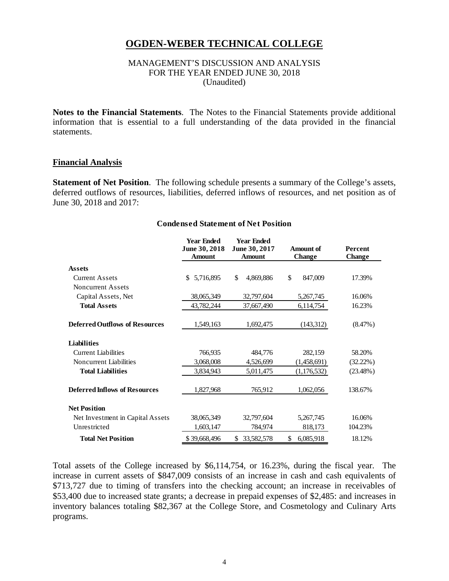### MANAGEMENT'S DISCUSSION AND ANALYSIS FOR THE YEAR ENDED JUNE 30, 2018 (Unaudited)

**Notes to the Financial Statements**. The Notes to the Financial Statements provide additional information that is essential to a full understanding of the data provided in the financial statements.

#### **Financial Analysis**

**Statement of Net Position**. The following schedule presents a summary of the College's assets, deferred outflows of resources, liabilities, deferred inflows of resources, and net position as of June 30, 2018 and 2017:

|                                       | <b>Year Ended</b><br>June 30, 2018<br><b>Amount</b> | <b>Year Ended</b><br>June 30, 2017<br><b>Amount</b> | Amount of<br><b>Change</b> | <b>Percent</b><br><b>Change</b> |
|---------------------------------------|-----------------------------------------------------|-----------------------------------------------------|----------------------------|---------------------------------|
| <b>Assets</b>                         |                                                     |                                                     |                            |                                 |
| <b>Current Assets</b>                 | 5,716,895<br>S.                                     | \$<br>4,869,886                                     | \$<br>847,009              | 17.39%                          |
| Noncurrent Assets                     |                                                     |                                                     |                            |                                 |
| Capital Assets, Net                   | 38,065,349                                          | 32,797,604                                          | 5, 267, 745                | 16.06%                          |
| <b>Total Assets</b>                   | 43,782,244                                          | 37,667,490                                          | 6,114,754                  | 16.23%                          |
|                                       |                                                     |                                                     |                            |                                 |
| <b>Deferred Outflows of Resources</b> | 1,549,163                                           | 1,692,475                                           | (143,312)                  | $(8.47\%)$                      |
| <b>Liabilities</b>                    |                                                     |                                                     |                            |                                 |
| <b>Current Liabilities</b>            | 766,935                                             | 484,776                                             | 282,159                    | 58.20%                          |
| Noncurrent Liabilities                | 3,068,008                                           | 4,526,699                                           | (1,458,691)                | $(32.22\%)$                     |
| <b>Total Liabilities</b>              | 3,834,943                                           | 5,011,475                                           | (1, 176, 532)              | $(23.48\%)$                     |
|                                       |                                                     |                                                     |                            |                                 |
| <b>Deferred Inflows of Resources</b>  | 1,827,968                                           | 765,912                                             | 1,062,056                  | 138.67%                         |
|                                       |                                                     |                                                     |                            |                                 |
| <b>Net Position</b>                   |                                                     |                                                     |                            |                                 |
| Net Investment in Capital Assets      | 38,065,349                                          | 32,797,604                                          | 5, 267, 745                | 16.06%                          |
| Unrestricted                          | 1,603,147                                           | 784,974                                             | 818,173                    | 104.23%                         |
| <b>Total Net Position</b>             | \$39,668,496                                        | 33,582,578<br>\$                                    | 6,085,918<br>\$            | 18.12%                          |

Total assets of the College increased by \$6,114,754, or 16.23%, during the fiscal year. The increase in current assets of \$847,009 consists of an increase in cash and cash equivalents of \$713,727 due to timing of transfers into the checking account; an increase in receivables of \$53,400 due to increased state grants; a decrease in prepaid expenses of \$2,485: and increases in inventory balances totaling \$82,367 at the College Store, and Cosmetology and Culinary Arts programs.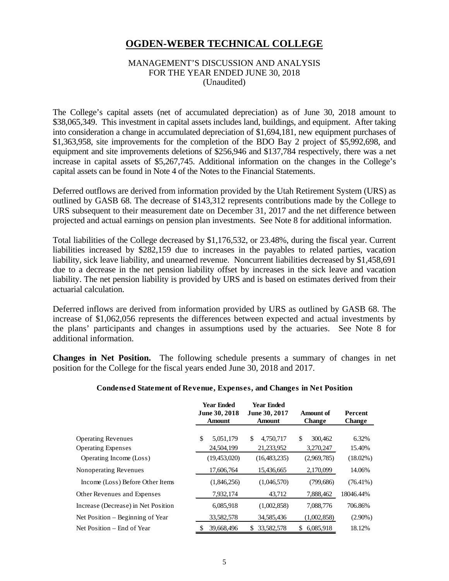### MANAGEMENT'S DISCUSSION AND ANALYSIS FOR THE YEAR ENDED JUNE 30, 2018 (Unaudited)

The College's capital assets (net of accumulated depreciation) as of June 30, 2018 amount to \$38,065,349. This investment in capital assets includes land, buildings, and equipment. After taking into consideration a change in accumulated depreciation of \$1,694,181, new equipment purchases of \$1,363,958, site improvements for the completion of the BDO Bay 2 project of \$5,992,698, and equipment and site improvements deletions of \$256,946 and \$137,784 respectively, there was a net increase in capital assets of \$5,267,745. Additional information on the changes in the College's capital assets can be found in Note 4 of the Notes to the Financial Statements.

Deferred outflows are derived from information provided by the Utah Retirement System (URS) as outlined by GASB 68. The decrease of \$143,312 represents contributions made by the College to URS subsequent to their measurement date on December 31, 2017 and the net difference between projected and actual earnings on pension plan investments. See Note 8 for additional information.

Total liabilities of the College decreased by \$1,176,532, or 23.48%, during the fiscal year. Current liabilities increased by \$282,159 due to increases in the payables to related parties, vacation liability, sick leave liability, and unearned revenue. Noncurrent liabilities decreased by \$1,458,691 due to a decrease in the net pension liability offset by increases in the sick leave and vacation liability. The net pension liability is provided by URS and is based on estimates derived from their actuarial calculation.

Deferred inflows are derived from information provided by URS as outlined by GASB 68. The increase of \$1,062,056 represents the differences between expected and actual investments by the plans' participants and changes in assumptions used by the actuaries. See Note 8 for additional information.

**Changes in Net Position.** The following schedule presents a summary of changes in net position for the College for the fiscal years ended June 30, 2018 and 2017.

#### **Condensed Statement of Revenue, Expenses, and Changes in Net Position**

|                                     | <b>Year Ended</b><br>June 30, 2018<br><b>Amount</b> | Year Ended<br>June 30, 2017<br><b>Amount</b> | Amount of<br><b>Change</b> | <b>Percent</b><br><b>Change</b> |
|-------------------------------------|-----------------------------------------------------|----------------------------------------------|----------------------------|---------------------------------|
| <b>Operating Revenues</b>           | \$<br>5,051,179                                     | \$<br>4,750,717                              | \$<br>300.462              | 6.32%                           |
| <b>Operating Expenses</b>           | 24,504,199                                          | 21,233,952                                   | 3,270,247                  | 15.40%                          |
| Operating Income (Loss)             | (19, 453, 020)                                      | (16,483,235)                                 | (2,969,785)                | $(18.02\%)$                     |
| Nonoperating Revenues               | 17,606,764                                          | 15,436,665                                   | 2,170,099                  | 14.06%                          |
| Income (Loss) Before Other Items    | (1,846,256)                                         | (1,046,570)                                  | (799, 686)                 | $(76.41\%)$                     |
| Other Revenues and Expenses         | 7,932,174                                           | 43.712                                       | 7,888,462                  | 18046.44%                       |
| Increase (Decrease) in Net Position | 6,085,918                                           | (1,002,858)                                  | 7,088,776                  | 706.86%                         |
| Net Position – Beginning of Year    | 33,582,578                                          | 34,585,436                                   | (1,002,858)                | $(2.90\%)$                      |
| Net Position – End of Year          | 39,668,496<br>\$                                    | 33,582,578<br>S.                             | 6,085,918<br>S.            | 18.12%                          |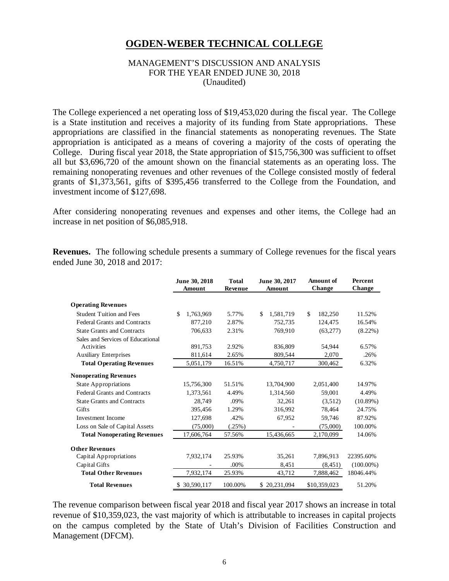### MANAGEMENT'S DISCUSSION AND ANALYSIS FOR THE YEAR ENDED JUNE 30, 2018 (Unaudited)

The College experienced a net operating loss of \$19,453,020 during the fiscal year. The College is a State institution and receives a majority of its funding from State appropriations. These appropriations are classified in the financial statements as nonoperating revenues. The State appropriation is anticipated as a means of covering a majority of the costs of operating the College. During fiscal year 2018, the State appropriation of \$15,756,300 was sufficient to offset all but \$3,696,720 of the amount shown on the financial statements as an operating loss. The remaining nonoperating revenues and other revenues of the College consisted mostly of federal grants of \$1,373,561, gifts of \$395,456 transferred to the College from the Foundation, and investment income of \$127,698.

After considering nonoperating revenues and expenses and other items, the College had an increase in net position of \$6,085,918.

|                                                 | June 30, 2018<br>Amount | <b>Total</b><br><b>Revenue</b> | June 30, 2017<br>Amount | <b>Amount of</b><br>Change | Percent<br>Change |
|-------------------------------------------------|-------------------------|--------------------------------|-------------------------|----------------------------|-------------------|
| <b>Operating Revenues</b>                       |                         |                                |                         |                            |                   |
| <b>Student Tuition and Fees</b>                 | \$.<br>1,763,969        | 5.77%                          | \$<br>1,581,719         | \$<br>182,250              | 11.52%            |
| <b>Federal Grants and Contracts</b>             | 877,210                 | 2.87%                          | 752,735                 | 124,475                    | 16.54%            |
| <b>State Grants and Contracts</b>               | 706,633                 | 2.31%                          | 769,910                 | (63,277)                   | $(8.22\%)$        |
| Sales and Services of Educational<br>Activities | 891,753                 | 2.92%                          | 836,809                 | 54.944                     | 6.57%             |
| <b>Auxiliary Enterprises</b>                    | 811,614                 | 2.65%                          | 809,544                 | 2,070                      | .26%              |
| <b>Total Operating Revenues</b>                 | 5,051,179               | 16.51%                         | 4,750,717               | 300,462                    | 6.32%             |
| <b>Nonoperating Revenues</b>                    |                         |                                |                         |                            |                   |
| <b>State Appropriations</b>                     | 15,756,300              | 51.51%                         | 13,704,900              | 2,051,400                  | 14.97%            |
| <b>Federal Grants and Contracts</b>             | 1,373,561               | 4.49%                          | 1,314,560               | 59.001                     | 4.49%             |
| <b>State Grants and Contracts</b>               | 28,749                  | .09%                           | 32,261                  | (3,512)                    | (10.89%)          |
| Gifts                                           | 395,456                 | 1.29%                          | 316,992                 | 78,464                     | 24.75%            |
| Investment Income                               | 127,698                 | .42%                           | 67,952                  | 59,746                     | 87.92%            |
| Loss on Sale of Capital Assets                  | (75,000)                | (.25%)                         |                         | (75,000)                   | 100.00%           |
| <b>Total Nonoperating Revenues</b>              | 17,606,764              | 57.56%                         | 15,436,665              | 2,170,099                  | 14.06%            |
| <b>Other Revenues</b>                           |                         |                                |                         |                            |                   |
| Capital Appropriations                          | 7,932,174               | 25.93%                         | 35,261                  | 7,896,913                  | 22395.60%         |
| Capital Gifts                                   |                         | .00%                           | 8,451                   | (8, 451)                   | $(100.00\%)$      |
| <b>Total Other Revenues</b>                     | 7,932,174               | 25.93%                         | 43,712                  | 7,888,462                  | 18046.44%         |
| <b>Total Revenues</b>                           | 30,590,117              | 100.00%                        | \$20,231,094            | \$10,359,023               | 51.20%            |

**Revenues.** The following schedule presents a summary of College revenues for the fiscal years ended June 30, 2018 and 2017:

The revenue comparison between fiscal year 2018 and fiscal year 2017 shows an increase in total revenue of \$10,359,023, the vast majority of which is attributable to increases in capital projects on the campus completed by the State of Utah's Division of Facilities Construction and Management (DFCM).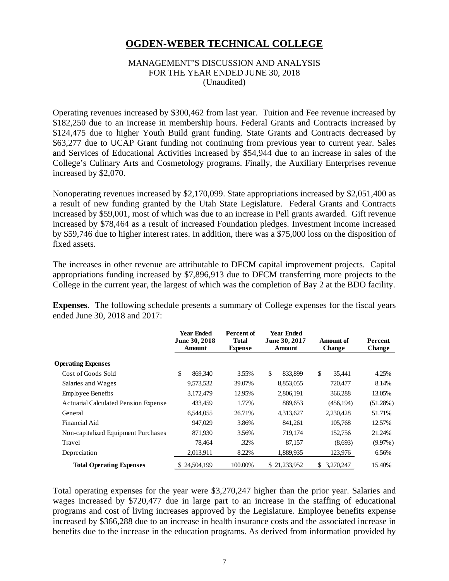### MANAGEMENT'S DISCUSSION AND ANALYSIS FOR THE YEAR ENDED JUNE 30, 2018 (Unaudited)

Operating revenues increased by \$300,462 from last year. Tuition and Fee revenue increased by \$182,250 due to an increase in membership hours. Federal Grants and Contracts increased by \$124,475 due to higher Youth Build grant funding. State Grants and Contracts decreased by \$63,277 due to UCAP Grant funding not continuing from previous year to current year. Sales and Services of Educational Activities increased by \$54,944 due to an increase in sales of the College's Culinary Arts and Cosmetology programs. Finally, the Auxiliary Enterprises revenue increased by \$2,070.

Nonoperating revenues increased by \$2,170,099. State appropriations increased by \$2,051,400 as a result of new funding granted by the Utah State Legislature. Federal Grants and Contracts increased by \$59,001, most of which was due to an increase in Pell grants awarded. Gift revenue increased by \$78,464 as a result of increased Foundation pledges. Investment income increased by \$59,746 due to higher interest rates. In addition, there was a \$75,000 loss on the disposition of fixed assets.

The increases in other revenue are attributable to DFCM capital improvement projects. Capital appropriations funding increased by \$7,896,913 due to DFCM transferring more projects to the College in the current year, the largest of which was the completion of Bay 2 at the BDO facility.

**Expenses**. The following schedule presents a summary of College expenses for the fiscal years ended June 30, 2018 and 2017:

|                                             | Year Ended<br>June 30, 2018<br><b>Amount</b> | Percent of<br><b>Total</b><br><b>Expense</b> | <b>Year Ended</b><br>June 30, 2017<br>Amount |    | Amount of<br><b>Change</b> | <b>Percent</b><br><b>Change</b> |
|---------------------------------------------|----------------------------------------------|----------------------------------------------|----------------------------------------------|----|----------------------------|---------------------------------|
| <b>Operating Expenses</b>                   |                                              |                                              |                                              |    |                            |                                 |
| Cost of Goods Sold                          | \$<br>869,340                                | 3.55%                                        | \$<br>833,899                                | \$ | 35,441                     | 4.25%                           |
| Salaries and Wages                          | 9,573,532                                    | 39.07%                                       | 8,853,055                                    |    | 720,477                    | 8.14%                           |
| <b>Employee Benefits</b>                    | 3,172,479                                    | 12.95%                                       | 2,806,191                                    |    | 366,288                    | 13.05%                          |
| <b>Actuarial Calculated Pension Expense</b> | 433,459                                      | 1.77%                                        | 889,653                                      |    | (456, 194)                 | $(51.28\%)$                     |
| General                                     | 6.544.055                                    | 26.71%                                       | 4,313,627                                    |    | 2,230,428                  | 51.71%                          |
| Financial Aid                               | 947,029                                      | 3.86%                                        | 841,261                                      |    | 105,768                    | 12.57%                          |
| Non-capitalized Equipment Purchases         | 871,930                                      | 3.56%                                        | 719,174                                      |    | 152,756                    | 21.24%                          |
| Travel                                      | 78.464                                       | .32%                                         | 87,157                                       |    | (8,693)                    | $(9.97\%)$                      |
| Depreciation                                | 2,013,911                                    | 8.22%                                        | 1,889,935                                    |    | 123,976                    | 6.56%                           |
| <b>Total Operating Expenses</b>             | \$24,504,199                                 | 100.00%                                      | \$21,233,952                                 | S. | 3.270.247                  | 15.40%                          |

Total operating expenses for the year were \$3,270,247 higher than the prior year. Salaries and wages increased by \$720,477 due in large part to an increase in the staffing of educational programs and cost of living increases approved by the Legislature. Employee benefits expense increased by \$366,288 due to an increase in health insurance costs and the associated increase in benefits due to the increase in the education programs. As derived from information provided by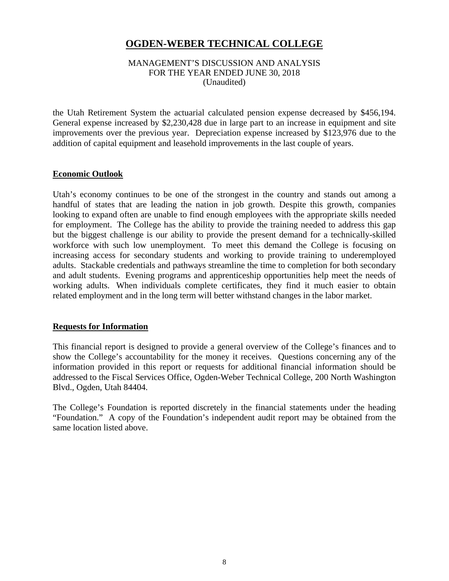### MANAGEMENT'S DISCUSSION AND ANALYSIS FOR THE YEAR ENDED JUNE 30, 2018 (Unaudited)

the Utah Retirement System the actuarial calculated pension expense decreased by \$456,194. General expense increased by \$2,230,428 due in large part to an increase in equipment and site improvements over the previous year. Depreciation expense increased by \$123,976 due to the addition of capital equipment and leasehold improvements in the last couple of years.

### **Economic Outlook**

Utah's economy continues to be one of the strongest in the country and stands out among a handful of states that are leading the nation in job growth. Despite this growth, companies looking to expand often are unable to find enough employees with the appropriate skills needed for employment. The College has the ability to provide the training needed to address this gap but the biggest challenge is our ability to provide the present demand for a technically-skilled workforce with such low unemployment. To meet this demand the College is focusing on increasing access for secondary students and working to provide training to underemployed adults. Stackable credentials and pathways streamline the time to completion for both secondary and adult students. Evening programs and apprenticeship opportunities help meet the needs of working adults. When individuals complete certificates, they find it much easier to obtain related employment and in the long term will better withstand changes in the labor market.

### **Requests for Information**

This financial report is designed to provide a general overview of the College's finances and to show the College's accountability for the money it receives. Questions concerning any of the information provided in this report or requests for additional financial information should be addressed to the Fiscal Services Office, Ogden-Weber Technical College, 200 North Washington Blvd., Ogden, Utah 84404.

The College's Foundation is reported discretely in the financial statements under the heading "Foundation." A copy of the Foundation's independent audit report may be obtained from the same location listed above.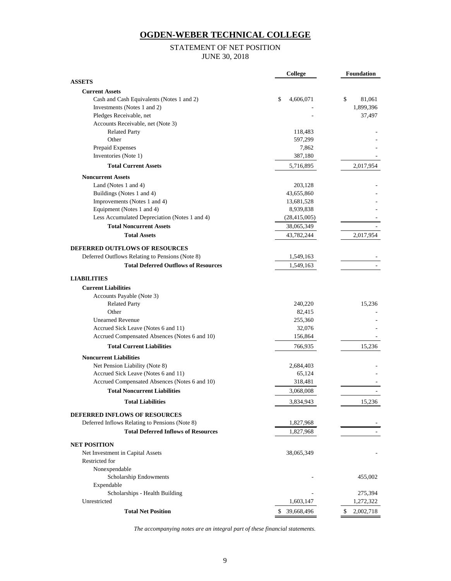## STATEMENT OF NET POSITION

JUNE 30, 2018

|                                                 | College          | <b>Foundation</b> |
|-------------------------------------------------|------------------|-------------------|
| <b>ASSETS</b>                                   |                  |                   |
| <b>Current Assets</b>                           |                  |                   |
| Cash and Cash Equivalents (Notes 1 and 2)       | \$<br>4,606,071  | \$<br>81,061      |
| Investments (Notes 1 and 2)                     |                  | 1,899,396         |
| Pledges Receivable, net                         |                  | 37,497            |
| Accounts Receivable, net (Note 3)               |                  |                   |
| <b>Related Party</b>                            | 118,483          |                   |
| Other                                           | 597,299          |                   |
| Prepaid Expenses                                | 7,862            |                   |
| Inventories (Note 1)                            | 387,180          |                   |
| <b>Total Current Assets</b>                     | 5,716,895        | 2,017,954         |
| <b>Noncurrent Assets</b>                        |                  |                   |
| Land (Notes 1 and 4)                            | 203,128          |                   |
| Buildings (Notes 1 and 4)                       | 43,655,860       |                   |
| Improvements (Notes 1 and 4)                    | 13,681,528       |                   |
| Equipment (Notes 1 and 4)                       | 8,939,838        |                   |
| Less Accumulated Depreciation (Notes 1 and 4)   | (28, 415, 005)   |                   |
| <b>Total Noncurrent Assets</b>                  | 38,065,349       |                   |
| <b>Total Assets</b>                             | 43,782,244       | 2,017,954         |
|                                                 |                  |                   |
| DEFERRED OUTFLOWS OF RESOURCES                  |                  |                   |
| Deferred Outflows Relating to Pensions (Note 8) | 1,549,163        |                   |
| <b>Total Deferred Outflows of Resources</b>     | 1,549,163        |                   |
| <b>LIABILITIES</b>                              |                  |                   |
| <b>Current Liabilities</b>                      |                  |                   |
| Accounts Payable (Note 3)                       |                  |                   |
| <b>Related Party</b>                            | 240,220          | 15,236            |
| Other                                           | 82,415           |                   |
| <b>Unearned Revenue</b>                         | 255,360          |                   |
| Accrued Sick Leave (Notes 6 and 11)             | 32,076           |                   |
| Accrued Compensated Absences (Notes 6 and 10)   | 156,864          |                   |
| <b>Total Current Liabilities</b>                | 766,935          | 15,236            |
|                                                 |                  |                   |
| <b>Noncurrent Liabilities</b>                   |                  |                   |
| Net Pension Liability (Note 8)                  | 2,684,403        |                   |
| Accrued Sick Leave (Notes 6 and 11)             | 65,124           |                   |
| Accrued Compensated Absences (Notes 6 and 10)   | 318,481          |                   |
| <b>Total Noncurrent Liabilities</b>             | 3,068,008        |                   |
| <b>Total Liabilities</b>                        | 3,834,943        | 15,236            |
| DEFERRED INFLOWS OF RESOURCES                   |                  |                   |
| Deferred Inflows Relating to Pensions (Note 8)  | 1,827,968        |                   |
| <b>Total Deferred Inflows of Resources</b>      | 1,827,968        |                   |
| <b>NET POSITION</b>                             |                  |                   |
| Net Investment in Capital Assets                | 38,065,349       |                   |
| Restricted for                                  |                  |                   |
| Nonexpendable                                   |                  |                   |
| Scholarship Endowments                          |                  | 455,002           |
| Expendable                                      |                  |                   |
| Scholarships - Health Building                  |                  | 275,394           |
| Unrestricted                                    | 1,603,147        | 1,272,322         |
| <b>Total Net Position</b>                       | 39,668,496<br>\$ | 2,002,718<br>\$   |
|                                                 |                  |                   |

*The accompanying notes are an integral part of these financial statements.*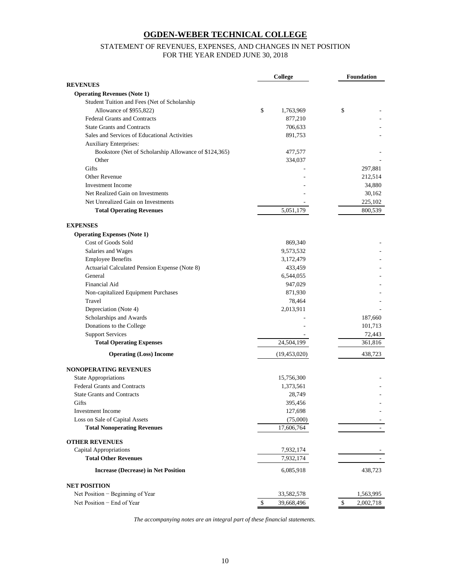### STATEMENT OF REVENUES, EXPENSES, AND CHANGES IN NET POSITION FOR THE YEAR ENDED JUNE 30, 2018

|                                                                    | <b>College</b>      | Foundation      |
|--------------------------------------------------------------------|---------------------|-----------------|
| <b>REVENUES</b>                                                    |                     |                 |
| <b>Operating Revenues (Note 1)</b>                                 |                     |                 |
| Student Tuition and Fees (Net of Scholarship                       |                     |                 |
| Allowance of \$955,822)                                            | \$<br>1,763,969     | \$              |
| <b>Federal Grants and Contracts</b>                                | 877,210             |                 |
| <b>State Grants and Contracts</b>                                  | 706,633             |                 |
| Sales and Services of Educational Activities                       | 891,753             |                 |
| <b>Auxiliary Enterprises:</b>                                      |                     |                 |
| Bookstore (Net of Scholarship Allowance of \$124,365)              | 477,577             |                 |
| Other                                                              | 334,037             |                 |
| Gifts                                                              |                     | 297,881         |
| Other Revenue                                                      |                     | 212,514         |
| <b>Investment Income</b>                                           |                     | 34,880          |
| Net Realized Gain on Investments                                   |                     | 30,162          |
| Net Unrealized Gain on Investments                                 |                     | 225,102         |
| <b>Total Operating Revenues</b>                                    | 5,051,179           | 800,539         |
| <b>EXPENSES</b>                                                    |                     |                 |
| <b>Operating Expenses (Note 1)</b>                                 |                     |                 |
| Cost of Goods Sold                                                 | 869,340             |                 |
| Salaries and Wages                                                 | 9,573,532           |                 |
| <b>Employee Benefits</b>                                           | 3,172,479           |                 |
| Actuarial Calculated Pension Expense (Note 8)                      | 433,459             |                 |
| General                                                            | 6,544,055           |                 |
| Financial Aid                                                      | 947,029             |                 |
| Non-capitalized Equipment Purchases                                | 871,930             |                 |
| Travel                                                             | 78,464              |                 |
| Depreciation (Note 4)                                              | 2,013,911           |                 |
| Scholarships and Awards                                            |                     | 187,660         |
| Donations to the College                                           |                     | 101,713         |
| <b>Support Services</b>                                            |                     | 72,443          |
| <b>Total Operating Expenses</b>                                    | 24,504,199          | 361,816         |
| <b>Operating (Loss) Income</b>                                     | (19, 453, 020)      | 438,723         |
|                                                                    |                     |                 |
| NONOPERATING REVENUES                                              |                     |                 |
| <b>State Appropriations</b><br><b>Federal Grants and Contracts</b> | 15,756,300          |                 |
| <b>State Grants and Contracts</b>                                  | 1,373,561<br>28,749 |                 |
| Gifts                                                              |                     |                 |
| <b>Investment Income</b>                                           | 395,456             |                 |
|                                                                    | 127,698             |                 |
| Loss on Sale of Capital Assets                                     | (75,000)            |                 |
| <b>Total Nonoperating Revenues</b>                                 | 17,606,764          |                 |
| <b>OTHER REVENUES</b>                                              |                     |                 |
| <b>Capital Appropriations</b>                                      | 7,932,174           |                 |
| <b>Total Other Revenues</b>                                        | 7,932,174           |                 |
| <b>Increase (Decrease) in Net Position</b>                         | 6,085,918           | 438,723         |
| <b>NET POSITION</b>                                                |                     |                 |
| Net Position - Beginning of Year                                   | 33,582,578          | 1,563,995       |
| Net Position - End of Year                                         | \$<br>39,668,496    | \$<br>2,002,718 |

*The accompanying notes are an integral part of these financial statements.*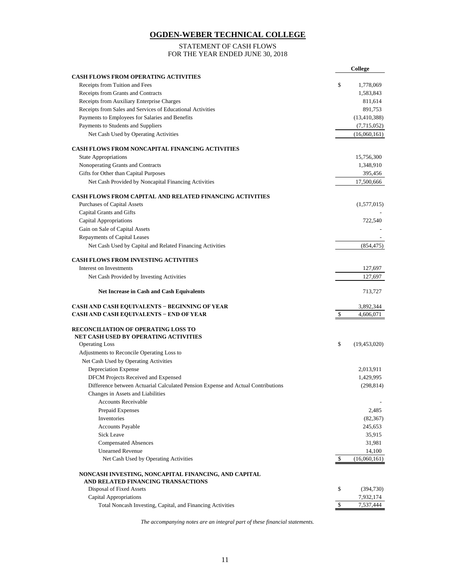### STATEMENT OF CASH FLOWS FOR THE YEAR ENDED JUNE 30, 2018

|                                                                                                              |        | <b>College</b>         |
|--------------------------------------------------------------------------------------------------------------|--------|------------------------|
| CASH FLOWS FROM OPERATING ACTIVITIES                                                                         |        |                        |
| Receipts from Tuition and Fees                                                                               | \$     | 1,778,069              |
| Receipts from Grants and Contracts                                                                           |        | 1,583,843              |
| Receipts from Auxiliary Enterprise Charges                                                                   |        | 811,614                |
| Receipts from Sales and Services of Educational Activities                                                   |        | 891,753                |
| Payments to Employees for Salaries and Benefits                                                              |        | (13, 410, 388)         |
| Payments to Students and Suppliers                                                                           |        | (7,715,052)            |
| Net Cash Used by Operating Activities                                                                        |        | (16,060,161)           |
| CASH FLOWS FROM NONCAPITAL FINANCING ACTIVITIES                                                              |        |                        |
| <b>State Appropriations</b>                                                                                  |        | 15,756,300             |
| Nonoperating Grants and Contracts                                                                            |        | 1,348,910              |
| Gifts for Other than Capital Purposes                                                                        |        | 395,456                |
| Net Cash Provided by Noncapital Financing Activities                                                         |        | 17,500,666             |
| <b>CASH FLOWS FROM CAPITAL AND RELATED FINANCING ACTIVITIES</b>                                              |        |                        |
| <b>Purchases of Capital Assets</b>                                                                           |        | (1,577,015)            |
| Capital Grants and Gifts                                                                                     |        |                        |
| <b>Capital Appropriations</b>                                                                                |        | 722,540                |
| Gain on Sale of Capital Assets                                                                               |        |                        |
| Repayments of Capital Leases                                                                                 |        |                        |
| Net Cash Used by Capital and Related Financing Activities                                                    |        | (854, 475)             |
| <b>CASH FLOWS FROM INVESTING ACTIVITIES</b>                                                                  |        |                        |
| Interest on Investments                                                                                      |        | 127,697                |
| Net Cash Provided by Investing Activities                                                                    |        | 127,697                |
| Net Increase in Cash and Cash Equivalents                                                                    |        | 713,727                |
| <b>CASH AND CASH EQUIVALENTS - BEGINNING OF YEAR</b>                                                         |        | 3,892,344              |
| <b>CASH AND CASH EQUIVALENTS - END OF YEAR</b>                                                               | \$     | 4,606,071              |
| <b>RECONCILIATION OF OPERATING LOSS TO</b><br>NET CASH USED BY OPERATING ACTIVITIES<br><b>Operating Loss</b> | \$     | (19, 453, 020)         |
| Adjustments to Reconcile Operating Loss to                                                                   |        |                        |
| Net Cash Used by Operating Activities                                                                        |        |                        |
|                                                                                                              |        |                        |
| <b>Depreciation Expense</b><br><b>DFCM</b> Projects Received and Expensed                                    |        | 2,013,911<br>1,429,995 |
| Difference between Actuarial Calculated Pension Expense and Actual Contributions                             |        | (298, 814)             |
| Changes in Assets and Liabilities                                                                            |        |                        |
| <b>Accounts Receivable</b>                                                                                   |        |                        |
|                                                                                                              |        | 2,485                  |
| Prepaid Expenses<br>Inventories                                                                              |        | (82, 367)              |
| Accounts Payable                                                                                             |        | 245,653                |
| <b>Sick Leave</b>                                                                                            |        | 35,915                 |
| <b>Compensated Absences</b>                                                                                  |        | 31,981                 |
| <b>Unearned Revenue</b>                                                                                      |        | 14,100                 |
|                                                                                                              |        |                        |
| Net Cash Used by Operating Activities                                                                        | \$     | (16,060,161)           |
| NONCASH INVESTING, NONCAPITAL FINANCING, AND CAPITAL                                                         |        |                        |
| AND RELATED FINANCING TRANSACTIONS                                                                           |        |                        |
| Disposal of Fixed Assets                                                                                     | \$     | (394,730)              |
| <b>Capital Appropriations</b>                                                                                | $\$\,$ | 7,932,174              |
| Total Noncash Investing, Capital, and Financing Activities                                                   |        | 7,537,444              |

*The accompanying notes are an integral part of these financial statements.*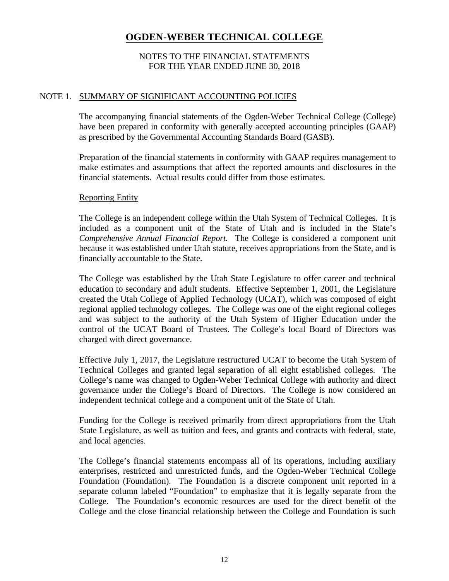### NOTES TO THE FINANCIAL STATEMENTS FOR THE YEAR ENDED JUNE 30, 2018

### NOTE 1. SUMMARY OF SIGNIFICANT ACCOUNTING POLICIES

The accompanying financial statements of the Ogden-Weber Technical College (College) have been prepared in conformity with generally accepted accounting principles (GAAP) as prescribed by the Governmental Accounting Standards Board (GASB).

Preparation of the financial statements in conformity with GAAP requires management to make estimates and assumptions that affect the reported amounts and disclosures in the financial statements. Actual results could differ from those estimates.

### Reporting Entity

The College is an independent college within the Utah System of Technical Colleges. It is included as a component unit of the State of Utah and is included in the State's *Comprehensive Annual Financial Report.* The College is considered a component unit because it was established under Utah statute, receives appropriations from the State, and is financially accountable to the State.

The College was established by the Utah State Legislature to offer career and technical education to secondary and adult students. Effective September 1, 2001, the Legislature created the Utah College of Applied Technology (UCAT), which was composed of eight regional applied technology colleges. The College was one of the eight regional colleges and was subject to the authority of the Utah System of Higher Education under the control of the UCAT Board of Trustees. The College's local Board of Directors was charged with direct governance.

Effective July 1, 2017, the Legislature restructured UCAT to become the Utah System of Technical Colleges and granted legal separation of all eight established colleges. The College's name was changed to Ogden-Weber Technical College with authority and direct governance under the College's Board of Directors. The College is now considered an independent technical college and a component unit of the State of Utah.

Funding for the College is received primarily from direct appropriations from the Utah State Legislature, as well as tuition and fees, and grants and contracts with federal, state, and local agencies.

The College's financial statements encompass all of its operations, including auxiliary enterprises, restricted and unrestricted funds, and the Ogden-Weber Technical College Foundation (Foundation). The Foundation is a discrete component unit reported in a separate column labeled "Foundation" to emphasize that it is legally separate from the College. The Foundation's economic resources are used for the direct benefit of the College and the close financial relationship between the College and Foundation is such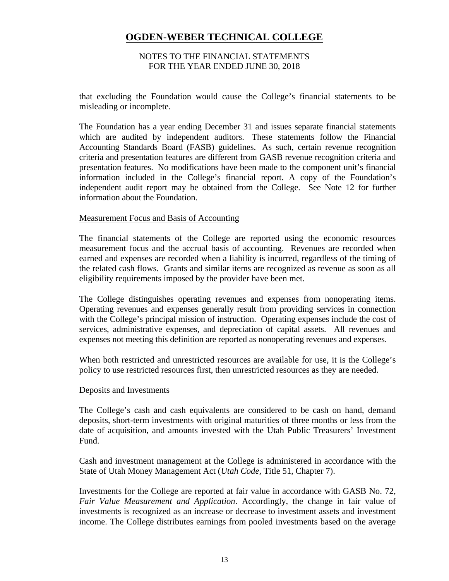### NOTES TO THE FINANCIAL STATEMENTS FOR THE YEAR ENDED JUNE 30, 2018

that excluding the Foundation would cause the College's financial statements to be misleading or incomplete.

The Foundation has a year ending December 31 and issues separate financial statements which are audited by independent auditors. These statements follow the Financial Accounting Standards Board (FASB) guidelines. As such, certain revenue recognition criteria and presentation features are different from GASB revenue recognition criteria and presentation features. No modifications have been made to the component unit's financial information included in the College's financial report. A copy of the Foundation's independent audit report may be obtained from the College. See Note 12 for further information about the Foundation.

### Measurement Focus and Basis of Accounting

The financial statements of the College are reported using the economic resources measurement focus and the accrual basis of accounting. Revenues are recorded when earned and expenses are recorded when a liability is incurred, regardless of the timing of the related cash flows. Grants and similar items are recognized as revenue as soon as all eligibility requirements imposed by the provider have been met.

The College distinguishes operating revenues and expenses from nonoperating items. Operating revenues and expenses generally result from providing services in connection with the College's principal mission of instruction. Operating expenses include the cost of services, administrative expenses, and depreciation of capital assets. All revenues and expenses not meeting this definition are reported as nonoperating revenues and expenses.

When both restricted and unrestricted resources are available for use, it is the College's policy to use restricted resources first, then unrestricted resources as they are needed.

#### Deposits and Investments

The College's cash and cash equivalents are considered to be cash on hand, demand deposits, short-term investments with original maturities of three months or less from the date of acquisition, and amounts invested with the Utah Public Treasurers' Investment Fund.

Cash and investment management at the College is administered in accordance with the State of Utah Money Management Act (*Utah Code,* Title 51, Chapter 7).

Investments for the College are reported at fair value in accordance with GASB No. 72, *Fair Value Measurement and Application*. Accordingly, the change in fair value of investments is recognized as an increase or decrease to investment assets and investment income. The College distributes earnings from pooled investments based on the average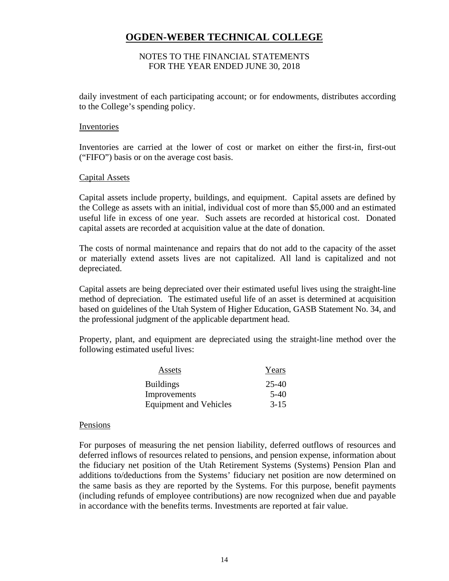### NOTES TO THE FINANCIAL STATEMENTS FOR THE YEAR ENDED JUNE 30, 2018

daily investment of each participating account; or for endowments, distributes according to the College's spending policy.

### Inventories

Inventories are carried at the lower of cost or market on either the first-in, first-out ("FIFO") basis or on the average cost basis.

### Capital Assets

Capital assets include property, buildings, and equipment. Capital assets are defined by the College as assets with an initial, individual cost of more than \$5,000 and an estimated useful life in excess of one year. Such assets are recorded at historical cost. Donated capital assets are recorded at acquisition value at the date of donation.

The costs of normal maintenance and repairs that do not add to the capacity of the asset or materially extend assets lives are not capitalized. All land is capitalized and not depreciated.

Capital assets are being depreciated over their estimated useful lives using the straight-line method of depreciation. The estimated useful life of an asset is determined at acquisition based on guidelines of the Utah System of Higher Education, GASB Statement No. 34, and the professional judgment of the applicable department head.

Property, plant, and equipment are depreciated using the straight-line method over the following estimated useful lives:

| Assets                        | Years    |
|-------------------------------|----------|
| <b>Buildings</b>              | 25-40    |
| Improvements                  | $5-40$   |
| <b>Equipment and Vehicles</b> | $3 - 15$ |

#### Pensions

For purposes of measuring the net pension liability, deferred outflows of resources and deferred inflows of resources related to pensions, and pension expense, information about the fiduciary net position of the Utah Retirement Systems (Systems) Pension Plan and additions to/deductions from the Systems' fiduciary net position are now determined on the same basis as they are reported by the Systems. For this purpose, benefit payments (including refunds of employee contributions) are now recognized when due and payable in accordance with the benefits terms. Investments are reported at fair value.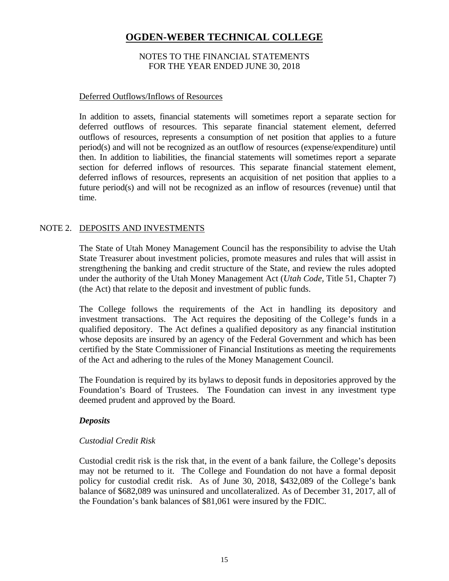### NOTES TO THE FINANCIAL STATEMENTS FOR THE YEAR ENDED JUNE 30, 2018

### Deferred Outflows/Inflows of Resources

In addition to assets, financial statements will sometimes report a separate section for deferred outflows of resources. This separate financial statement element, deferred outflows of resources, represents a consumption of net position that applies to a future period(s) and will not be recognized as an outflow of resources (expense/expenditure) until then. In addition to liabilities, the financial statements will sometimes report a separate section for deferred inflows of resources. This separate financial statement element, deferred inflows of resources, represents an acquisition of net position that applies to a future period(s) and will not be recognized as an inflow of resources (revenue) until that time.

### NOTE 2. DEPOSITS AND INVESTMENTS

The State of Utah Money Management Council has the responsibility to advise the Utah State Treasurer about investment policies, promote measures and rules that will assist in strengthening the banking and credit structure of the State, and review the rules adopted under the authority of the Utah Money Management Act (*Utah Code,* Title 51, Chapter 7) (the Act) that relate to the deposit and investment of public funds.

The College follows the requirements of the Act in handling its depository and investment transactions. The Act requires the depositing of the College's funds in a qualified depository. The Act defines a qualified depository as any financial institution whose deposits are insured by an agency of the Federal Government and which has been certified by the State Commissioner of Financial Institutions as meeting the requirements of the Act and adhering to the rules of the Money Management Council.

The Foundation is required by its bylaws to deposit funds in depositories approved by the Foundation's Board of Trustees. The Foundation can invest in any investment type deemed prudent and approved by the Board.

### *Deposits*

#### *Custodial Credit Risk*

Custodial credit risk is the risk that, in the event of a bank failure, the College's deposits may not be returned to it. The College and Foundation do not have a formal deposit policy for custodial credit risk. As of June 30, 2018, \$432,089 of the College's bank balance of \$682,089 was uninsured and uncollateralized. As of December 31, 2017, all of the Foundation's bank balances of \$81,061 were insured by the FDIC.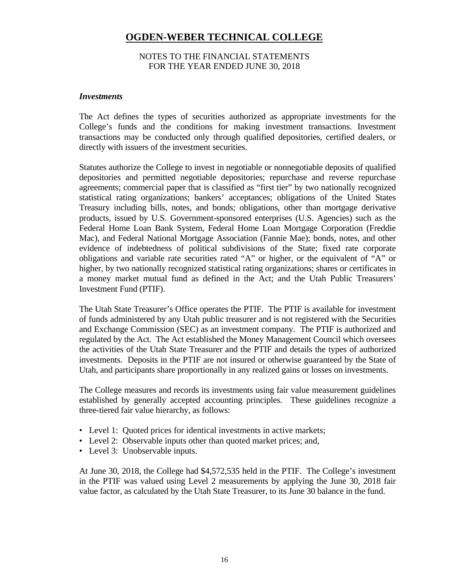### NOTES TO THE FINANCIAL STATEMENTS FOR THE YEAR ENDED JUNE 30, 2018

### *Investments*

The Act defines the types of securities authorized as appropriate investments for the College's funds and the conditions for making investment transactions. Investment transactions may be conducted only through qualified depositories, certified dealers, or directly with issuers of the investment securities.

Statutes authorize the College to invest in negotiable or nonnegotiable deposits of qualified depositories and permitted negotiable depositories; repurchase and reverse repurchase agreements; commercial paper that is classified as "first tier" by two nationally recognized statistical rating organizations; bankers' acceptances; obligations of the United States Treasury including bills, notes, and bonds; obligations, other than mortgage derivative products, issued by U.S. Government-sponsored enterprises (U.S. Agencies) such as the Federal Home Loan Bank System, Federal Home Loan Mortgage Corporation (Freddie Mac), and Federal National Mortgage Association (Fannie Mae); bonds, notes, and other evidence of indebtedness of political subdivisions of the State; fixed rate corporate obligations and variable rate securities rated "A" or higher, or the equivalent of "A" or higher, by two nationally recognized statistical rating organizations; shares or certificates in a money market mutual fund as defined in the Act; and the Utah Public Treasurers' Investment Fund (PTIF).

The Utah State Treasurer's Office operates the PTIF. The PTIF is available for investment of funds administered by any Utah public treasurer and is not registered with the Securities and Exchange Commission (SEC) as an investment company. The PTIF is authorized and regulated by the Act. The Act established the Money Management Council which oversees the activities of the Utah State Treasurer and the PTIF and details the types of authorized investments. Deposits in the PTIF are not insured or otherwise guaranteed by the State of Utah, and participants share proportionally in any realized gains or losses on investments.

The College measures and records its investments using fair value measurement guidelines established by generally accepted accounting principles. These guidelines recognize a three-tiered fair value hierarchy, as follows:

- Level 1: Quoted prices for identical investments in active markets;
- Level 2: Observable inputs other than quoted market prices; and,
- Level 3: Unobservable inputs.

At June 30, 2018, the College had \$4,572,535 held in the PTIF. The College's investment in the PTIF was valued using Level 2 measurements by applying the June 30, 2018 fair value factor, as calculated by the Utah State Treasurer, to its June 30 balance in the fund.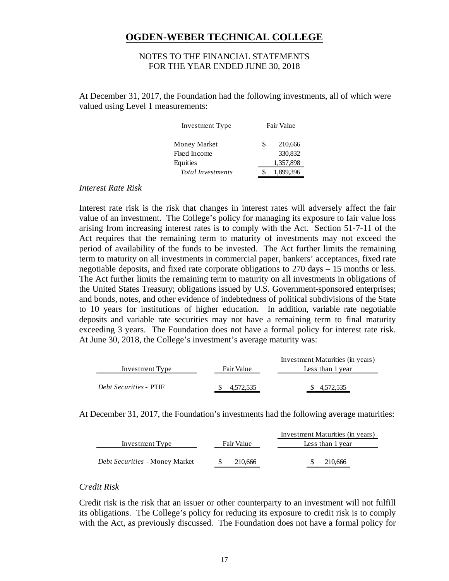### NOTES TO THE FINANCIAL STATEMENTS FOR THE YEAR ENDED JUNE 30, 2018

At December 31, 2017, the Foundation had the following investments, all of which were valued using Level 1 measurements:

| Investment Type          | Fair Value |           |  |
|--------------------------|------------|-----------|--|
|                          |            |           |  |
| Money Market             | S.         | 210,666   |  |
| Fixed Income             |            | 330,832   |  |
| Equities                 |            | 1,357,898 |  |
| <b>Total Investments</b> |            | 1,899,396 |  |

#### *Interest Rate Risk*

Interest rate risk is the risk that changes in interest rates will adversely affect the fair value of an investment. The College's policy for managing its exposure to fair value loss arising from increasing interest rates is to comply with the Act. Section 51-7-11 of the Act requires that the remaining term to maturity of investments may not exceed the period of availability of the funds to be invested. The Act further limits the remaining term to maturity on all investments in commercial paper, bankers' acceptances, fixed rate negotiable deposits, and fixed rate corporate obligations to 270 days – 15 months or less. The Act further limits the remaining term to maturity on all investments in obligations of the United States Treasury; obligations issued by U.S. Government-sponsored enterprises; and bonds, notes, and other evidence of indebtedness of political subdivisions of the State to 10 years for institutions of higher education. In addition, variable rate negotiable deposits and variable rate securities may not have a remaining term to final maturity exceeding 3 years. The Foundation does not have a formal policy for interest rate risk. At June 30, 2018, the College's investment's average maturity was:

|                               |            | Investment Maturities (in years) |
|-------------------------------|------------|----------------------------------|
| Investment Type               | Fair Value | Less than 1 year                 |
|                               |            |                                  |
| <i>Debt Securities - PTIF</i> | 4,572,535  | 4,572,535                        |

At December 31, 2017, the Foundation's investments had the following average maturities:

|                                |            | Investment Maturities (in years) |
|--------------------------------|------------|----------------------------------|
| Investment Type                | Fair Value | Less than 1 year                 |
|                                |            |                                  |
| Debt Securities - Money Market | 210,666    | 210,666                          |

#### *Credit Risk*

Credit risk is the risk that an issuer or other counterparty to an investment will not fulfill its obligations. The College's policy for reducing its exposure to credit risk is to comply with the Act, as previously discussed. The Foundation does not have a formal policy for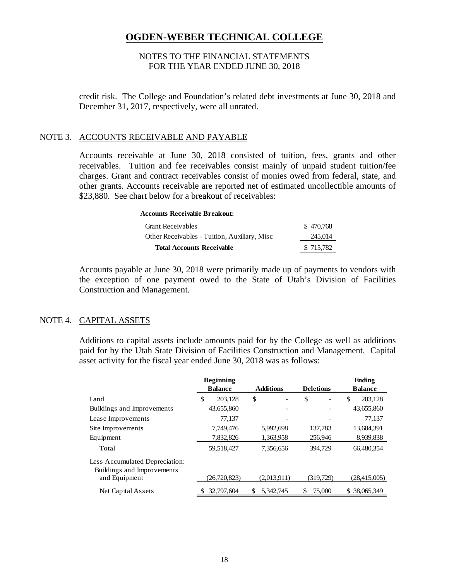### NOTES TO THE FINANCIAL STATEMENTS FOR THE YEAR ENDED JUNE 30, 2018

credit risk. The College and Foundation's related debt investments at June 30, 2018 and December 31, 2017, respectively, were all unrated.

### NOTE 3. ACCOUNTS RECEIVABLE AND PAYABLE

Accounts receivable at June 30, 2018 consisted of tuition, fees, grants and other receivables. Tuition and fee receivables consist mainly of unpaid student tuition/fee charges. Grant and contract receivables consist of monies owed from federal, state, and other grants. Accounts receivable are reported net of estimated uncollectible amounts of \$23,880. See chart below for a breakout of receivables:

#### **Accounts Receivable Breakout:**

| <b>Grant Receivables</b>                     | \$470.768 |
|----------------------------------------------|-----------|
| Other Receivables - Tuition, Auxiliary, Misc | 245.014   |
| <b>Total Accounts Receivable</b>             | \$715,782 |

Accounts payable at June 30, 2018 were primarily made up of payments to vendors with the exception of one payment owed to the State of Utah's Division of Facilities Construction and Management.

### NOTE 4. CAPITAL ASSETS

Additions to capital assets include amounts paid for by the College as well as additions paid for by the Utah State Division of Facilities Construction and Management. Capital asset activity for the fiscal year ended June 30, 2018 was as follows:

|                                                                               | <b>Beginning</b><br><b>Balance</b> | <b>Additions</b>               | <b>Deletions</b>               | <b>Ending</b><br><b>Balance</b> |
|-------------------------------------------------------------------------------|------------------------------------|--------------------------------|--------------------------------|---------------------------------|
| Land                                                                          | \$<br>203.128                      | \$<br>$\overline{\phantom{a}}$ | \$<br>$\overline{\phantom{a}}$ | \$<br>203.128                   |
| Buildings and Improvements                                                    | 43,655,860                         | $\overline{\phantom{0}}$       |                                | 43,655,860                      |
| Lease Improvements                                                            | 77,137                             |                                |                                | 77.137                          |
| Site Improvements                                                             | 7,749,476                          | 5,992,698                      | 137,783                        | 13,604,391                      |
| Equipment                                                                     | 7.832.826                          | 1,363,958                      | 256,946                        | 8,939,838                       |
| Total                                                                         | 59.518.427                         | 7,356,656                      | 394,729                        | 66,480,354                      |
| Less Accumulated Depreciation:<br>Buildings and Improvements<br>and Equipment | (26, 720, 823)                     | (2,013,911)                    | (319, 729)                     | (28, 415, 005)                  |
| Net Capital Assets                                                            | 32,797,604<br>\$                   | 5.342.745<br>\$.               | \$<br>75,000                   | \$38,065,349                    |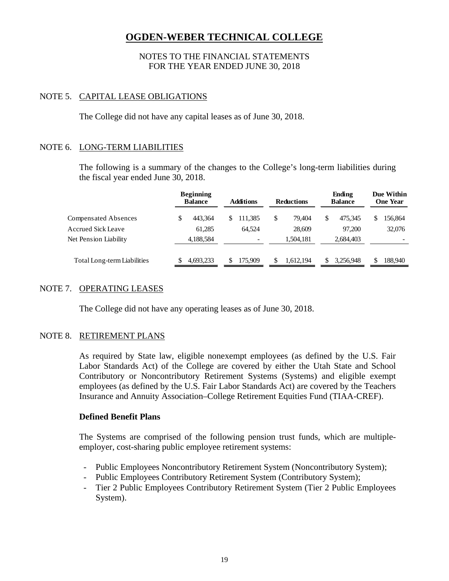### NOTES TO THE FINANCIAL STATEMENTS FOR THE YEAR ENDED JUNE 30, 2018

### NOTE 5. CAPITAL LEASE OBLIGATIONS

The College did not have any capital leases as of June 30, 2018.

### NOTE 6. LONG-TERM LIABILITIES

The following is a summary of the changes to the College's long-term liabilities during the fiscal year ended June 30, 2018.

|                             | <b>Beginning</b><br><b>Balance</b> | <b>Additions</b> |   | <b>Reductions</b> |   | Ending<br><b>Balance</b> | Due Within<br><b>One Year</b> |
|-----------------------------|------------------------------------|------------------|---|-------------------|---|--------------------------|-------------------------------|
| Compensated Absences        | \$<br>443.364                      | 111.385          | S | 79.404            | S | 475.345                  | 156,864                       |
| <b>Accrued Sick Leave</b>   | 61,285                             | 64.524           |   | 28,609            |   | 97,200                   | 32,076                        |
| Net Pension Liability       | 4,188,584                          | -                |   | 1,504,181         |   | 2.684,403                |                               |
| Total Long-term Liabilities | 4,693,233                          | 175,909          |   | 1.612.194         |   | 3,256,948                | 188,940                       |

### NOTE 7. OPERATING LEASES

The College did not have any operating leases as of June 30, 2018.

### NOTE 8. RETIREMENT PLANS

As required by State law, eligible nonexempt employees (as defined by the U.S. Fair Labor Standards Act) of the College are covered by either the Utah State and School Contributory or Noncontributory Retirement Systems (Systems) and eligible exempt employees (as defined by the U.S. Fair Labor Standards Act) are covered by the Teachers Insurance and Annuity Association–College Retirement Equities Fund (TIAA-CREF).

#### **Defined Benefit Plans**

The Systems are comprised of the following pension trust funds, which are multipleemployer, cost-sharing public employee retirement systems:

- Public Employees Noncontributory Retirement System (Noncontributory System);
- Public Employees Contributory Retirement System (Contributory System);
- Tier 2 Public Employees Contributory Retirement System (Tier 2 Public Employees System).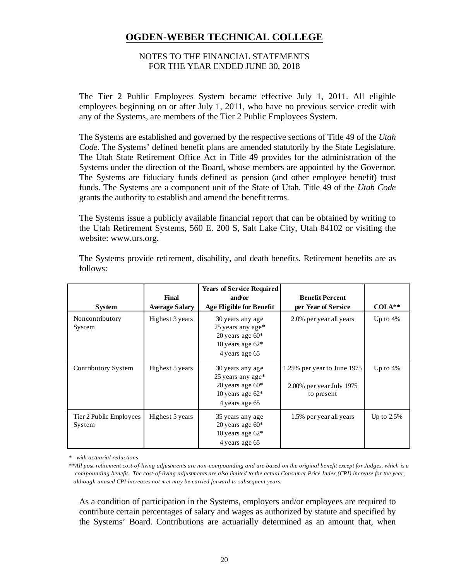### NOTES TO THE FINANCIAL STATEMENTS FOR THE YEAR ENDED JUNE 30, 2018

The Tier 2 Public Employees System became effective July 1, 2011. All eligible employees beginning on or after July 1, 2011, who have no previous service credit with any of the Systems, are members of the Tier 2 Public Employees System.

The Systems are established and governed by the respective sections of Title 49 of the *Utah Code*. The Systems' defined benefit plans are amended statutorily by the State Legislature. The Utah State Retirement Office Act in Title 49 provides for the administration of the Systems under the direction of the Board, whose members are appointed by the Governor. The Systems are fiduciary funds defined as pension (and other employee benefit) trust funds. The Systems are a component unit of the State of Utah. Title 49 of the *Utah Code* grants the authority to establish and amend the benefit terms.

The Systems issue a publicly available financial report that can be obtained by writing to the Utah Retirement Systems, 560 E. 200 S, Salt Lake City, Utah 84102 or visiting the website: www.urs.org.

| <b>System</b>                     | Final<br><b>Average Salary</b> | <b>Years of Service Required</b><br>and/or<br>Age Eligible for Benefit                                | <b>Benefit Percent</b><br>per Year of Service                            | $COLA**$     |
|-----------------------------------|--------------------------------|-------------------------------------------------------------------------------------------------------|--------------------------------------------------------------------------|--------------|
| Noncontributory<br>System         | Highest 3 years                | 30 years any age<br>$25$ years any age*<br>20 years age $60*$<br>10 years age $62*$<br>4 years age 65 | 2.0% per year all years                                                  | Up to $4\%$  |
| Contributory System               | Highest 5 years                | 30 years any age<br>$25$ years any age*<br>20 years age $60*$<br>10 years age $62*$<br>4 years age 65 | 1.25% per year to June 1975<br>$2.00\%$ per year July 1975<br>to present | Up to $4\%$  |
| Tier 2 Public Employees<br>System | Highest 5 years                | 35 years any age<br>20 years age $60*$<br>10 years age $62*$<br>4 years age 65                        | 1.5% per year all years                                                  | Up to $2.5%$ |

The Systems provide retirement, disability, and death benefits. Retirement benefits are as follows:

*\* with actuarial reductions*

*\*\*All post-retirement cost-of-living adjustments are non-compounding and are based on the original benefit except for Judges, which is a compounding benefit. The cost-of-living adjustments are also limited to the actual Consumer Price Index (CPI) increase for the year, although unused CPI increases not met may be carried forward to subsequent years.*

As a condition of participation in the Systems, employers and/or employees are required to contribute certain percentages of salary and wages as authorized by statute and specified by the Systems' Board. Contributions are actuarially determined as an amount that, when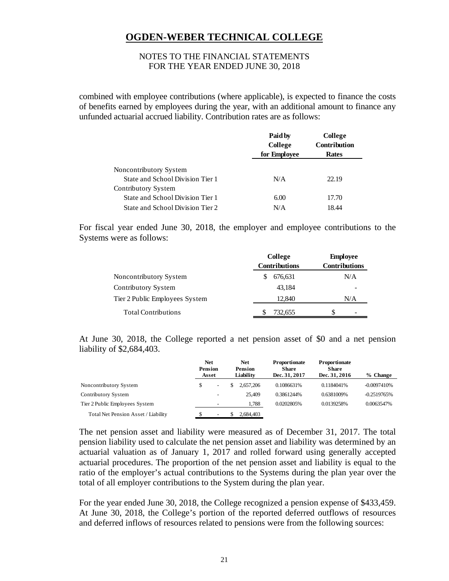### NOTES TO THE FINANCIAL STATEMENTS FOR THE YEAR ENDED JUNE 30, 2018

combined with employee contributions (where applicable), is expected to finance the costs of benefits earned by employees during the year, with an additional amount to finance any unfunded actuarial accrued liability. Contribution rates are as follows:

|                                  | Paid by      | College      |
|----------------------------------|--------------|--------------|
|                                  | College      | Contribution |
|                                  | for Employee | <b>Rates</b> |
|                                  |              |              |
| Noncontributory System           |              |              |
| State and School Division Tier 1 | N/A          | 22.19        |
| Contributory System              |              |              |
| State and School Division Tier 1 | 6.00         | 17.70        |
| State and School Division Tier 2 | N/A          | 18.44        |

For fiscal year ended June 30, 2018, the employer and employee contributions to the Systems were as follows:

|                                | College              | <b>Employee</b>      |
|--------------------------------|----------------------|----------------------|
|                                | <b>Contributions</b> | <b>Contributions</b> |
| Noncontributory System         | 676,631              | N/A                  |
| Contributory System            | 43,184               |                      |
| Tier 2 Public Employees System | 12.840               | N/A                  |
| <b>Total Contributions</b>     | 732.655              |                      |

At June 30, 2018, the College reported a net pension asset of \$0 and a net pension liability of \$2,684,403.

|                                     | <b>Net</b><br><b>Pension</b><br>Asset |                          | <b>Net</b><br><b>Pension</b><br>Liability | Proportionate<br><b>Share</b><br>Dec. 31, 2017 | Proportionate<br><b>Share</b><br>Dec. 31, 2016 | % Change      |
|-------------------------------------|---------------------------------------|--------------------------|-------------------------------------------|------------------------------------------------|------------------------------------------------|---------------|
| Noncontributory System              | S                                     | $\overline{\phantom{a}}$ | 2.657.206                                 | 0.1086631%                                     | 0.1184041%                                     | $-0.0097410%$ |
| Contributory System                 |                                       | $\overline{\phantom{a}}$ | 25,409                                    | 0.3861244%                                     | 0.6381009%                                     | $-0.2519765%$ |
| Tier 2 Public Employees System      |                                       | $\overline{\phantom{a}}$ | 1,788                                     | 0.0202805%                                     | 0.0139258%                                     | 0.0063547%    |
| Total Net Pension Asset / Liability |                                       | $\overline{\phantom{a}}$ | 2,684,403                                 |                                                |                                                |               |

The net pension asset and liability were measured as of December 31, 2017. The total pension liability used to calculate the net pension asset and liability was determined by an actuarial valuation as of January 1, 2017 and rolled forward using generally accepted actuarial procedures. The proportion of the net pension asset and liability is equal to the ratio of the employer's actual contributions to the Systems during the plan year over the total of all employer contributions to the System during the plan year.

For the year ended June 30, 2018, the College recognized a pension expense of \$433,459. At June 30, 2018, the College's portion of the reported deferred outflows of resources and deferred inflows of resources related to pensions were from the following sources: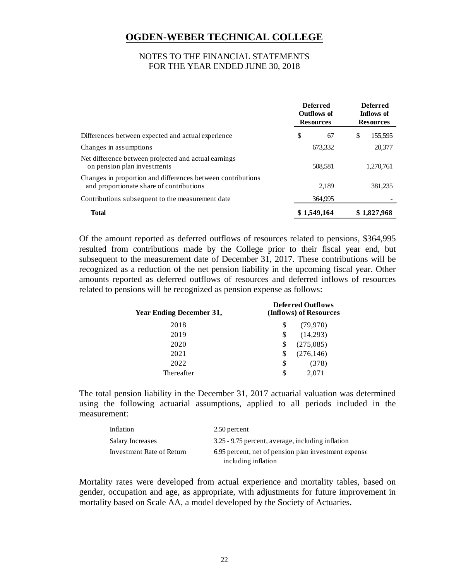### NOTES TO THE FINANCIAL STATEMENTS FOR THE YEAR ENDED JUNE 30, 2018

|                                                                                                         | <b>Deferred</b><br>Outflows of<br><b>Resources</b> |         | <b>Deferred</b><br>Inflows of<br><b>Resources</b> |             |  |
|---------------------------------------------------------------------------------------------------------|----------------------------------------------------|---------|---------------------------------------------------|-------------|--|
| Differences between expected and actual experience                                                      | \$                                                 | 67      | \$                                                | 155,595     |  |
| Changes in assumptions                                                                                  |                                                    | 673.332 |                                                   | 20,377      |  |
| Net difference between projected and actual earnings<br>on pension plan investments                     |                                                    | 508.581 |                                                   | 1,270,761   |  |
| Changes in proportion and differences between contributions<br>and proportionate share of contributions |                                                    | 2.189   |                                                   | 381.235     |  |
| Contributions subsequent to the measurement date                                                        |                                                    | 364,995 |                                                   |             |  |
| <b>Total</b>                                                                                            | \$1,549,164                                        |         |                                                   | \$1,827,968 |  |

Of the amount reported as deferred outflows of resources related to pensions, \$364,995 resulted from contributions made by the College prior to their fiscal year end, but subsequent to the measurement date of December 31, 2017. These contributions will be recognized as a reduction of the net pension liability in the upcoming fiscal year. Other amounts reported as deferred outflows of resources and deferred inflows of resources related to pensions will be recognized as pension expense as follows:

| <b>Deferred Outflows</b><br>(Inflows) of Resources |
|----------------------------------------------------|
| (79,970)<br>\$                                     |
| (14,293)<br>\$                                     |
| (275,085)<br>\$                                    |
| (276, 146)<br>\$                                   |
| \$<br>(378)                                        |
| 2,071<br>S                                         |
|                                                    |

The total pension liability in the December 31, 2017 actuarial valuation was determined using the following actuarial assumptions, applied to all periods included in the measurement:

| Inflation                 | 2.50 percent                                         |
|---------------------------|------------------------------------------------------|
| <b>Salary Increases</b>   | 3.25 - 9.75 percent, average, including inflation    |
| Investment Rate of Return | 6.95 percent, net of pension plan investment expense |
|                           | including inflation                                  |

Mortality rates were developed from actual experience and mortality tables, based on gender, occupation and age, as appropriate, with adjustments for future improvement in mortality based on Scale AA, a model developed by the Society of Actuaries.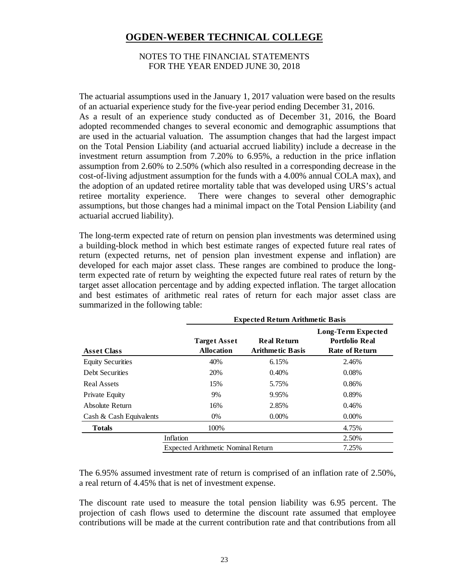### NOTES TO THE FINANCIAL STATEMENTS FOR THE YEAR ENDED JUNE 30, 2018

The actuarial assumptions used in the January 1, 2017 valuation were based on the results of an actuarial experience study for the five-year period ending December 31, 2016. As a result of an experience study conducted as of December 31, 2016, the Board adopted recommended changes to several economic and demographic assumptions that are used in the actuarial valuation. The assumption changes that had the largest impact on the Total Pension Liability (and actuarial accrued liability) include a decrease in the investment return assumption from 7.20% to 6.95%, a reduction in the price inflation assumption from 2.60% to 2.50% (which also resulted in a corresponding decrease in the cost-of-living adjustment assumption for the funds with a 4.00% annual COLA max), and the adoption of an updated retiree mortality table that was developed using URS's actual retiree mortality experience. There were changes to several other demographic assumptions, but those changes had a minimal impact on the Total Pension Liability (and actuarial accrued liability).

The long-term expected rate of return on pension plan investments was determined using a building-block method in which best estimate ranges of expected future real rates of return (expected returns, net of pension plan investment expense and inflation) are developed for each major asset class. These ranges are combined to produce the longterm expected rate of return by weighting the expected future real rates of return by the target asset allocation percentage and by adding expected inflation. The target allocation and best estimates of arithmetic real rates of return for each major asset class are summarized in the following table:

|                          | <b>Expected Return Arithmetic Basis</b>  |                                               |                                                                      |  |  |  |  |
|--------------------------|------------------------------------------|-----------------------------------------------|----------------------------------------------------------------------|--|--|--|--|
| <b>Asset Class</b>       | <b>Target Asset</b><br><b>Allocation</b> | <b>Real Return</b><br><b>Arithmetic Basis</b> | Long-Term Expected<br><b>Portfolio Real</b><br><b>Rate of Return</b> |  |  |  |  |
| <b>Equity Securities</b> | 40%                                      | 6.15%                                         | 2.46%                                                                |  |  |  |  |
| <b>Debt Securities</b>   | 20%                                      | 0.40%                                         | 0.08%                                                                |  |  |  |  |
| <b>Real Assets</b>       | 15%                                      | 5.75%                                         | 0.86%                                                                |  |  |  |  |
| Private Equity           | $9\%$                                    | 9.95%                                         | 0.89%                                                                |  |  |  |  |
| Absolute Return          | 16%                                      | 2.85%                                         | 0.46%                                                                |  |  |  |  |
| Cash & Cash Equivalents  | 0%                                       | $0.00\%$                                      | $0.00\%$                                                             |  |  |  |  |
| <b>Totals</b>            | 100%                                     |                                               | 4.75%                                                                |  |  |  |  |
|                          | Inflation                                |                                               | 2.50%                                                                |  |  |  |  |
|                          | Expected Arithmetic Nominal Return       |                                               | 7.25%                                                                |  |  |  |  |

The 6.95% assumed investment rate of return is comprised of an inflation rate of 2.50%, a real return of 4.45% that is net of investment expense.

The discount rate used to measure the total pension liability was 6.95 percent. The projection of cash flows used to determine the discount rate assumed that employee contributions will be made at the current contribution rate and that contributions from all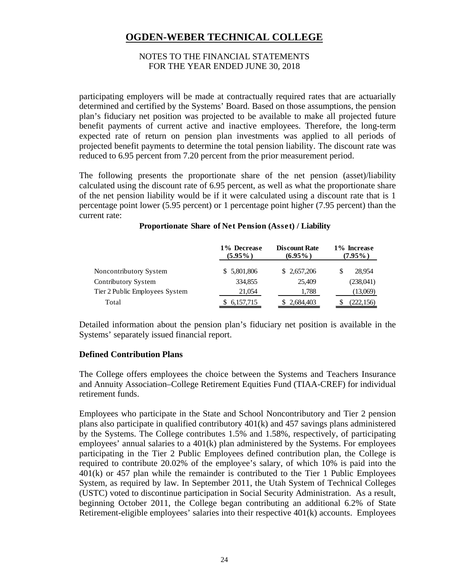### NOTES TO THE FINANCIAL STATEMENTS FOR THE YEAR ENDED JUNE 30, 2018

participating employers will be made at contractually required rates that are actuarially determined and certified by the Systems' Board. Based on those assumptions, the pension plan's fiduciary net position was projected to be available to make all projected future benefit payments of current active and inactive employees. Therefore, the long-term expected rate of return on pension plan investments was applied to all periods of projected benefit payments to determine the total pension liability. The discount rate was reduced to 6.95 percent from 7.20 percent from the prior measurement period.

The following presents the proportionate share of the net pension (asset)/liability calculated using the discount rate of 6.95 percent, as well as what the proportionate share of the net pension liability would be if it were calculated using a discount rate that is 1 percentage point lower (5.95 percent) or 1 percentage point higher (7.95 percent) than the current rate:

|                                | 1% Decrease<br>$(5.95\%)$ | <b>Discount Rate</b><br>$(6.95\%)$ | 1% Increase<br>$(7.95\%)$ |  |  |
|--------------------------------|---------------------------|------------------------------------|---------------------------|--|--|
| Noncontributory System         | \$ 5,801,806              | \$2,657,206                        | 28.954                    |  |  |
| Contributory System            | 334,855                   | 25,409                             | (238,041)                 |  |  |
| Tier 2 Public Employees System | 21,054                    | 1,788                              | (13,069)                  |  |  |
| Total                          | 6, 157, 715               | 2,684,403                          | (222, 156)                |  |  |

### **Proportionate Share of Net Pension (Asset) / Liability**

Detailed information about the pension plan's fiduciary net position is available in the Systems' separately issued financial report.

### **Defined Contribution Plans**

The College offers employees the choice between the Systems and Teachers Insurance and Annuity Association–College Retirement Equities Fund (TIAA-CREF) for individual retirement funds.

Employees who participate in the State and School Noncontributory and Tier 2 pension plans also participate in qualified contributory 401(k) and 457 savings plans administered by the Systems. The College contributes 1.5% and 1.58%, respectively, of participating employees' annual salaries to a 401(k) plan administered by the Systems. For employees participating in the Tier 2 Public Employees defined contribution plan, the College is required to contribute 20.02% of the employee's salary, of which 10% is paid into the 401(k) or 457 plan while the remainder is contributed to the Tier 1 Public Employees System, as required by law. In September 2011, the Utah System of Technical Colleges (USTC) voted to discontinue participation in Social Security Administration. As a result, beginning October 2011, the College began contributing an additional 6.2% of State Retirement-eligible employees' salaries into their respective 401(k) accounts. Employees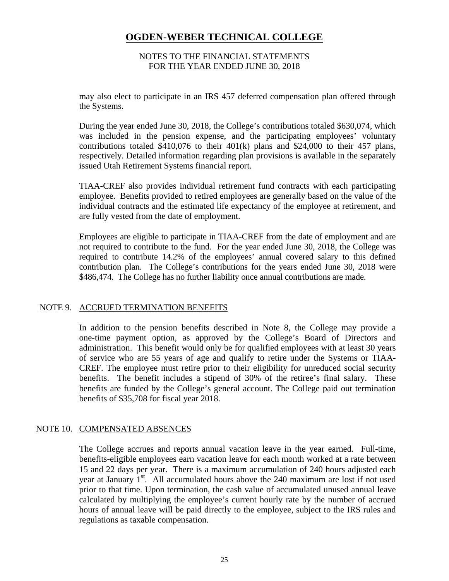### NOTES TO THE FINANCIAL STATEMENTS FOR THE YEAR ENDED JUNE 30, 2018

may also elect to participate in an IRS 457 deferred compensation plan offered through the Systems.

During the year ended June 30, 2018, the College's contributions totaled \$630,074, which was included in the pension expense, and the participating employees' voluntary contributions totaled \$410,076 to their 401(k) plans and \$24,000 to their 457 plans, respectively. Detailed information regarding plan provisions is available in the separately issued Utah Retirement Systems financial report.

TIAA-CREF also provides individual retirement fund contracts with each participating employee. Benefits provided to retired employees are generally based on the value of the individual contracts and the estimated life expectancy of the employee at retirement, and are fully vested from the date of employment.

Employees are eligible to participate in TIAA-CREF from the date of employment and are not required to contribute to the fund. For the year ended June 30, 2018, the College was required to contribute 14.2% of the employees' annual covered salary to this defined contribution plan. The College's contributions for the years ended June 30, 2018 were \$486,474. The College has no further liability once annual contributions are made.

### NOTE 9. ACCRUED TERMINATION BENEFITS

In addition to the pension benefits described in Note 8, the College may provide a one-time payment option, as approved by the College's Board of Directors and administration. This benefit would only be for qualified employees with at least 30 years of service who are 55 years of age and qualify to retire under the Systems or TIAA-CREF. The employee must retire prior to their eligibility for unreduced social security benefits. The benefit includes a stipend of 30% of the retiree's final salary. These benefits are funded by the College's general account. The College paid out termination benefits of \$35,708 for fiscal year 2018.

### NOTE 10. COMPENSATED ABSENCES

The College accrues and reports annual vacation leave in the year earned. Full-time, benefits-eligible employees earn vacation leave for each month worked at a rate between 15 and 22 days per year. There is a maximum accumulation of 240 hours adjusted each year at January 1<sup>st</sup>. All accumulated hours above the 240 maximum are lost if not used prior to that time. Upon termination, the cash value of accumulated unused annual leave calculated by multiplying the employee's current hourly rate by the number of accrued hours of annual leave will be paid directly to the employee, subject to the IRS rules and regulations as taxable compensation.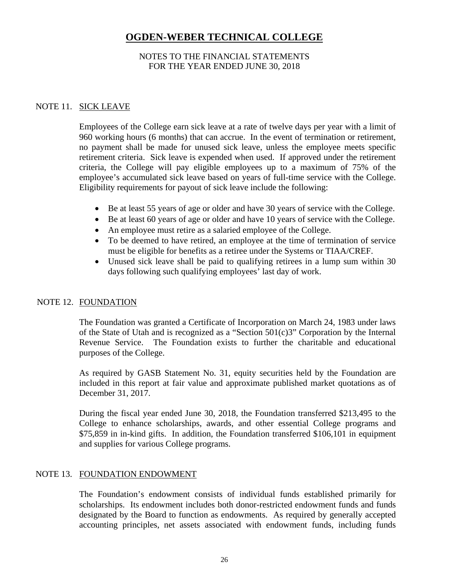### NOTES TO THE FINANCIAL STATEMENTS FOR THE YEAR ENDED JUNE 30, 2018

### NOTE 11. SICK LEAVE

Employees of the College earn sick leave at a rate of twelve days per year with a limit of 960 working hours (6 months) that can accrue. In the event of termination or retirement, no payment shall be made for unused sick leave, unless the employee meets specific retirement criteria. Sick leave is expended when used. If approved under the retirement criteria, the College will pay eligible employees up to a maximum of 75% of the employee's accumulated sick leave based on years of full-time service with the College. Eligibility requirements for payout of sick leave include the following:

- Be at least 55 years of age or older and have 30 years of service with the College.
- Be at least 60 years of age or older and have 10 years of service with the College.
- An employee must retire as a salaried employee of the College.
- To be deemed to have retired, an employee at the time of termination of service must be eligible for benefits as a retiree under the Systems or TIAA/CREF.
- Unused sick leave shall be paid to qualifying retirees in a lump sum within 30 days following such qualifying employees' last day of work.

### NOTE 12. FOUNDATION

The Foundation was granted a Certificate of Incorporation on March 24, 1983 under laws of the State of Utah and is recognized as a "Section 501(c)3" Corporation by the Internal Revenue Service. The Foundation exists to further the charitable and educational purposes of the College.

As required by GASB Statement No. 31, equity securities held by the Foundation are included in this report at fair value and approximate published market quotations as of December 31, 2017.

During the fiscal year ended June 30, 2018, the Foundation transferred \$213,495 to the College to enhance scholarships, awards, and other essential College programs and \$75,859 in in-kind gifts. In addition, the Foundation transferred \$106,101 in equipment and supplies for various College programs.

### NOTE 13. FOUNDATION ENDOWMENT

The Foundation's endowment consists of individual funds established primarily for scholarships. Its endowment includes both donor-restricted endowment funds and funds designated by the Board to function as endowments. As required by generally accepted accounting principles, net assets associated with endowment funds, including funds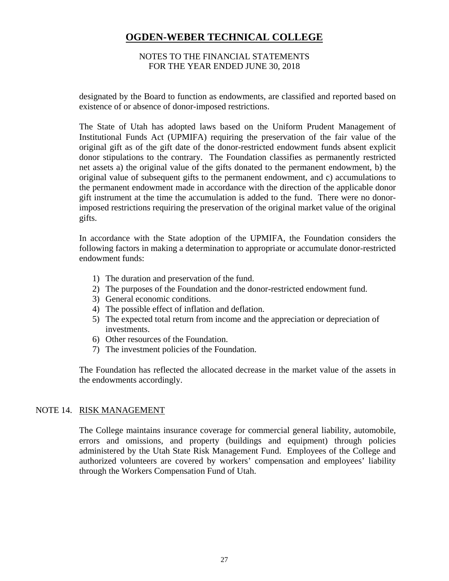### NOTES TO THE FINANCIAL STATEMENTS FOR THE YEAR ENDED JUNE 30, 2018

designated by the Board to function as endowments, are classified and reported based on existence of or absence of donor-imposed restrictions.

The State of Utah has adopted laws based on the Uniform Prudent Management of Institutional Funds Act (UPMIFA) requiring the preservation of the fair value of the original gift as of the gift date of the donor-restricted endowment funds absent explicit donor stipulations to the contrary. The Foundation classifies as permanently restricted net assets a) the original value of the gifts donated to the permanent endowment, b) the original value of subsequent gifts to the permanent endowment, and c) accumulations to the permanent endowment made in accordance with the direction of the applicable donor gift instrument at the time the accumulation is added to the fund. There were no donorimposed restrictions requiring the preservation of the original market value of the original gifts.

In accordance with the State adoption of the UPMIFA, the Foundation considers the following factors in making a determination to appropriate or accumulate donor-restricted endowment funds:

- 1) The duration and preservation of the fund.
- 2) The purposes of the Foundation and the donor-restricted endowment fund.
- 3) General economic conditions.
- 4) The possible effect of inflation and deflation.
- 5) The expected total return from income and the appreciation or depreciation of investments.
- 6) Other resources of the Foundation.
- 7) The investment policies of the Foundation.

The Foundation has reflected the allocated decrease in the market value of the assets in the endowments accordingly.

### NOTE 14. RISK MANAGEMENT

The College maintains insurance coverage for commercial general liability, automobile, errors and omissions, and property (buildings and equipment) through policies administered by the Utah State Risk Management Fund. Employees of the College and authorized volunteers are covered by workers' compensation and employees' liability through the Workers Compensation Fund of Utah.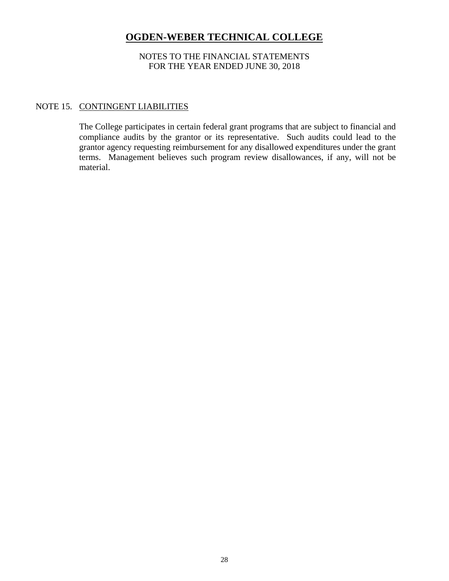NOTES TO THE FINANCIAL STATEMENTS FOR THE YEAR ENDED JUNE 30, 2018

### NOTE 15. CONTINGENT LIABILITIES

The College participates in certain federal grant programs that are subject to financial and compliance audits by the grantor or its representative. Such audits could lead to the grantor agency requesting reimbursement for any disallowed expenditures under the grant terms. Management believes such program review disallowances, if any, will not be material.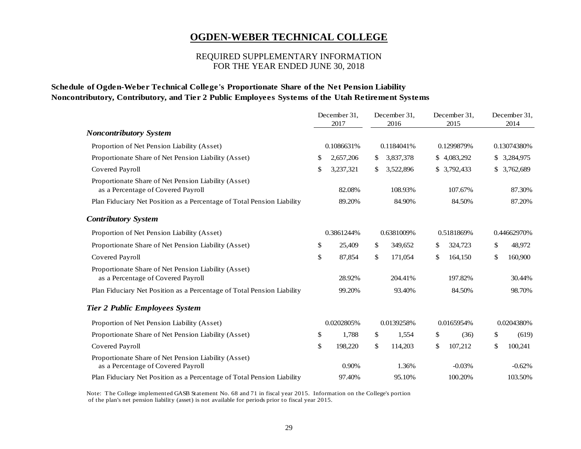### REQUIRED SUPPLEMENTARY INFORMATION FOR THE YEAR ENDED JUNE 30, 2018

### **Schedule of Ogden-Weber Technical College's Proportionate Share of the Net Pension Liability Noncontributory, Contributory, and Tier 2 Public Employees Systems of the Utah Retirement Systems**

|                                                                                            |            | December 31,<br>2017 |            | December 31,<br>2016 |            | December 31.<br>2015 |             | December 31.<br>2014 |  |
|--------------------------------------------------------------------------------------------|------------|----------------------|------------|----------------------|------------|----------------------|-------------|----------------------|--|
| <b>Noncontributory System</b>                                                              |            |                      |            |                      |            |                      |             |                      |  |
| Proportion of Net Pension Liability (Asset)                                                |            | 0.1086631%           |            | 0.1184041%           |            | 0.1299879%           |             | 0.13074380%          |  |
| Proportionate Share of Net Pension Liability (Asset)                                       | \$         | 2,657,206            | \$         | 3,837,378            |            | \$4,083,292          | \$          | 3,284,975            |  |
| Covered Payroll                                                                            | \$         | 3,237,321            | \$         | 3,522,896            |            | \$3,792,433          | \$          | 3,762,689            |  |
| Proportionate Share of Net Pension Liability (Asset)<br>as a Percentage of Covered Payroll |            | 82.08%               |            | 108.93%              |            | 107.67%              |             | 87.30%               |  |
| Plan Fiduciary Net Position as a Percentage of Total Pension Liability                     |            | 89.20%               |            | 84.90%               |            | 84.50%               |             | 87.20%               |  |
| <b>Contributory System</b>                                                                 |            |                      |            |                      |            |                      |             |                      |  |
| Proportion of Net Pension Liability (Asset)                                                | 0.3861244% |                      | 0.6381009% |                      | 0.5181869% |                      | 0.44662970% |                      |  |
| Proportionate Share of Net Pension Liability (Asset)                                       | \$         | 25,409               | \$         | 349,652              | \$         | 324,723              | \$          | 48,972               |  |
| Covered Payroll                                                                            | \$         | 87,854               | \$         | 171,054              | \$         | 164,150              | \$          | 160,900              |  |
| Proportionate Share of Net Pension Liability (Asset)<br>as a Percentage of Covered Payroll |            | 28.92%               |            | 204.41%              |            | 197.82%              |             | 30.44%               |  |
| Plan Fiduciary Net Position as a Percentage of Total Pension Liability                     |            | 99.20%               |            | 93.40%               |            | 84.50%               |             | 98.70%               |  |
| <b>Tier 2 Public Employees System</b>                                                      |            |                      |            |                      |            |                      |             |                      |  |
| Proportion of Net Pension Liability (Asset)                                                | 0.0202805% |                      | 0.0139258% |                      | 0.0165954% |                      | 0.0204380%  |                      |  |
| Proportionate Share of Net Pension Liability (Asset)                                       | \$         | 1,788                | \$         | 1,554                | \$         | (36)                 | \$          | (619)                |  |
| Covered Payroll                                                                            | \$         | 198,220              | \$         | 114,203              | \$         | 107,212              | \$          | 100,241              |  |
| Proportionate Share of Net Pension Liability (Asset)<br>as a Percentage of Covered Payroll |            | 0.90%                |            | 1.36%                |            | $-0.03%$             |             | $-0.62%$             |  |
| Plan Fiduciary Net Position as a Percentage of Total Pension Liability                     |            | 97.40%               |            | 95.10%               |            | 100.20%              |             | 103.50%              |  |

Note: The College implemented GASB Statement No. 68 and 71 in fiscal year 2015. Information on the College's portion of the plan's net pension liability (asset) is not available for periods prior to fiscal year 2015.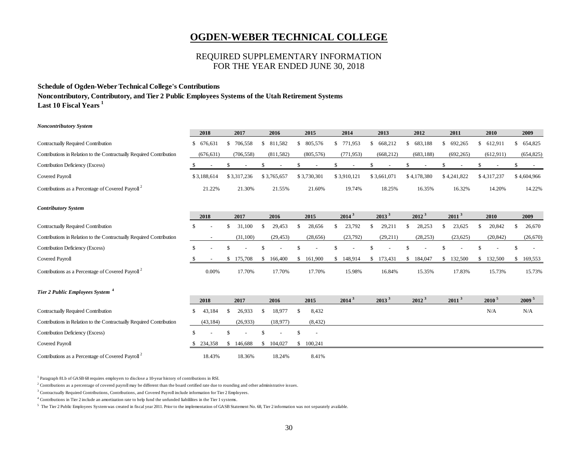### REQUIRED SUPPLEMENTARY INFORMATION FOR THE YEAR ENDED JUNE 30, 2018

#### **Schedule of Ogden-Weber Technical College's Contributions Noncontributory, Contributory, and Tier 2 Public Employees Systems of the Utah Retirement Systems Last 10 Fiscal Years 1**

*Noncontributory System*

|                                                                      | 2018          | 2017          | 2016                    | 2015                           | 2014              | 2013                     | 2012              | 2011              | 2010                     | 2009                            |
|----------------------------------------------------------------------|---------------|---------------|-------------------------|--------------------------------|-------------------|--------------------------|-------------------|-------------------|--------------------------|---------------------------------|
| Contractually Required Contribution                                  | 676,631<br>S. | \$706,558     | 811,582<br>$\mathbb{S}$ | \$ 805,576                     | \$ 771,953        | 668,212<br>\$            | \$<br>683,188     | \$692,265         | 612,911<br>\$            | \$ 654,825                      |
| Contributions in Relation to the Contractually Required Contribution | (676, 631)    | (706, 558)    | (811,582)               | (805, 576)                     | (771, 953)        | (668, 212)               | (683, 188)        | (692, 265)        | (612, 911)               | (654, 825)                      |
| Contribution Deficiency (Excess)                                     |               | <sup>\$</sup> | -\$                     | S.<br>$\overline{\phantom{a}}$ | \$<br>$\sim$      | \$                       | S.                | -\$<br>$\sim$     | \$<br>$\sim$             | \$.<br>$\sim$                   |
| Covered Payroll                                                      | \$3,188,614   | \$3,317,236   | \$3,765,657             | \$3,730,301                    | \$3,910,121       | \$3,661,071              | \$4,178,380       | \$4,241,822       | \$4,317,237              | \$4,604,966                     |
| Contributions as a Percentage of Covered Payroll <sup>2</sup>        | 21.22%        | 21.30%        | 21.55%                  | 21.60%                         | 19.74%            | 18.25%                   | 16.35%            | 16.32%            | 14.20%                   | 14.22%                          |
| <b>Contributory System</b>                                           |               |               |                         |                                |                   |                          |                   |                   |                          |                                 |
|                                                                      | 2018          | 2017          | 2016                    | 2015                           | 2014 <sup>3</sup> | $2013^3$                 | 2012 <sup>3</sup> | 2011 <sup>3</sup> | 2010                     | 2009                            |
| Contractually Required Contribution                                  | \$            | 31,100<br>\$  | 29,453<br>\$            | 28,656<br>\$                   | \$<br>23,792      | \$<br>29,211             | \$<br>28,253      | 23,625<br>\$.     | 20,842<br>\$             | 26,670                          |
| Contributions in Relation to the Contractually Required Contribution |               | (31,100)      | (29, 453)               | (28, 656)                      | (23,792)          | (29, 211)                | (28, 253)         | (23, 625)         | (20, 842)                | (26, 670)                       |
| Contribution Deficiency (Excess)                                     | \$            | \$            |                         | \$.                            | \$                | \$                       | \$                | \$.               | \$                       | \$.<br>$\overline{\phantom{a}}$ |
| Covered Payroll                                                      |               | 175,708<br>\$ | 166,400<br>S.           | 161,900<br><sup>\$</sup>       | \$148,914         | 173,431<br><sup>\$</sup> | \$184,047         | \$132,500         | 132,500<br><sup>\$</sup> | \$169,553                       |
| Contributions as a Percentage of Covered Payroll <sup>2</sup>        | 0.00%         | 17.70%        | 17.70%                  | 17.70%                         | 15.98%            | 16.84%                   | 15.35%            | 17.83%            | 15.73%                   | 15.73%                          |
| Tier 2 Public Employees System <sup>4</sup>                          |               |               |                         |                                |                   |                          |                   |                   |                          |                                 |
|                                                                      | 2018          | 2017          | 2016                    | 2015                           | 2014 <sup>3</sup> | 2013 <sup>3</sup>        | 2012 <sup>3</sup> | 2011 <sup>3</sup> | $2010^5$                 | 2009 <sup>5</sup>               |
| Contractually Required Contribution                                  | 43,184        | \$<br>26,933  | 18,977<br>-8            | 8,432<br>-\$                   |                   |                          |                   |                   | N/A                      | N/A                             |
| Contributions in Relation to the Contractually Required Contribution | (43, 184)     | (26,933)      | (18,977)                | (8, 432)                       |                   |                          |                   |                   |                          |                                 |
| Contribution Deficiency (Excess)                                     | \$            | \$            |                         | -\$                            |                   |                          |                   |                   |                          |                                 |
| Covered Payroll                                                      | 234,358<br>S. | \$146,688     | 104,027<br>S.           | \$100,241                      |                   |                          |                   |                   |                          |                                 |
| Contributions as a Percentage of Covered Payroll <sup>2</sup>        | 18.43%        | 18.36%        | 18.24%                  | 8.41%                          |                   |                          |                   |                   |                          |                                 |

<sup>1</sup> Paragraph 81.b of GASB 68 requires employers to disclose a 10-year history of contributions in RSI.

 $2$  Contributions as a percentage of covered payroll may be different than the board certified rate due to rounding and other administrative issues.

<sup>3</sup> Contractually Required Contributions, Contributions, and Covered Payroll include information for Tier 2 Employees.

4 Contributions in Tier 2 include an amortization rate to help fund the unfunded liabililites in the Tier 1 systems.

 $5$  The Tier 2 Public Employees System was created in fiscal year 2011. Prior to the implementation of GASB Statement No. 68, Tier 2 information was not separately available.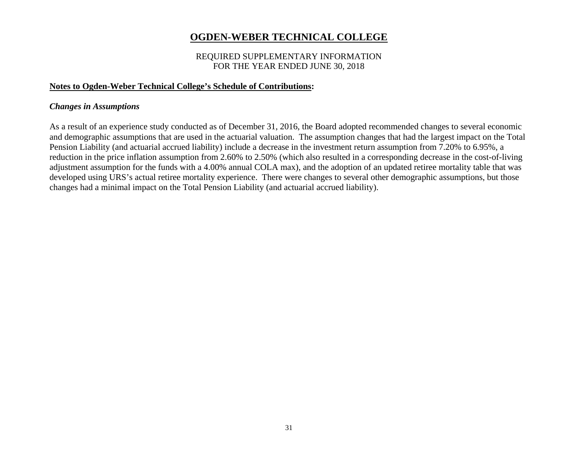### REQUIRED SUPPLEMENTARY INFORMATION FOR THE YEAR ENDED JUNE 30, 2018

### **Notes to Ogden-Weber Technical College's Schedule of Contributions:**

#### *Changes in Assumptions*

As a result of an experience study conducted as of December 31, 2016, the Board adopted recommended changes to several economic and demographic assumptions that are used in the actuarial valuation. The assumption changes that had the largest impact on the Total Pension Liability (and actuarial accrued liability) include a decrease in the investment return assumption from 7.20% to 6.95%, a reduction in the price inflation assumption from 2.60% to 2.50% (which also resulted in a corresponding decrease in the cost-of-living adjustment assumption for the funds with a 4.00% annual COLA max), and the adoption of an updated retiree mortality table that was developed using URS's actual retiree mortality experience. There were changes to several other demographic assumptions, but those changes had a minimal impact on the Total Pension Liability (and actuarial accrued liability).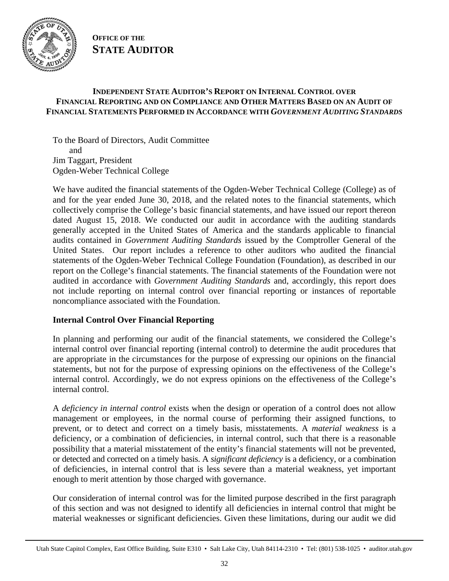

**OFFICE OF THE STATE AUDITOR**

### **INDEPENDENT STATE AUDITOR'S REPORT ON INTERNAL CONTROL OVER FINANCIAL REPORTING AND ON COMPLIANCE AND OTHER MATTERS BASED ON AN AUDIT OF FINANCIAL STATEMENTS PERFORMED IN ACCORDANCE WITH** *GOVERNMENT AUDITING STANDARDS*

To the Board of Directors, Audit Committee and Jim Taggart, President Ogden-Weber Technical College

We have audited the financial statements of the Ogden-Weber Technical College (College) as of and for the year ended June 30, 2018, and the related notes to the financial statements, which collectively comprise the College's basic financial statements, and have issued our report thereon dated August 15, 2018. We conducted our audit in accordance with the auditing standards generally accepted in the United States of America and the standards applicable to financial audits contained in *Government Auditing Standards* issued by the Comptroller General of the United States. Our report includes a reference to other auditors who audited the financial statements of the Ogden-Weber Technical College Foundation (Foundation)*,* as described in our report on the College's financial statements. The financial statements of the Foundation were not audited in accordance with *Government Auditing Standards* and, accordingly, this report does not include reporting on internal control over financial reporting or instances of reportable noncompliance associated with the Foundation.

### **Internal Control Over Financial Reporting**

In planning and performing our audit of the financial statements, we considered the College's internal control over financial reporting (internal control) to determine the audit procedures that are appropriate in the circumstances for the purpose of expressing our opinions on the financial statements, but not for the purpose of expressing opinions on the effectiveness of the College's internal control. Accordingly, we do not express opinions on the effectiveness of the College's internal control.

A *deficiency in internal control* exists when the design or operation of a control does not allow management or employees, in the normal course of performing their assigned functions, to prevent, or to detect and correct on a timely basis, misstatements. A *material weakness* is a deficiency, or a combination of deficiencies, in internal control, such that there is a reasonable possibility that a material misstatement of the entity's financial statements will not be prevented, or detected and corrected on a timely basis. A *significant deficiency* is a deficiency, or a combination of deficiencies, in internal control that is less severe than a material weakness, yet important enough to merit attention by those charged with governance.

Our consideration of internal control was for the limited purpose described in the first paragraph of this section and was not designed to identify all deficiencies in internal control that might be material weaknesses or significant deficiencies. Given these limitations, during our audit we did

Utah State Capitol Complex, East Office Building, Suite E310 • Salt Lake City, Utah 84114-2310 • Tel: (801) 538-1025 • auditor.utah.gov